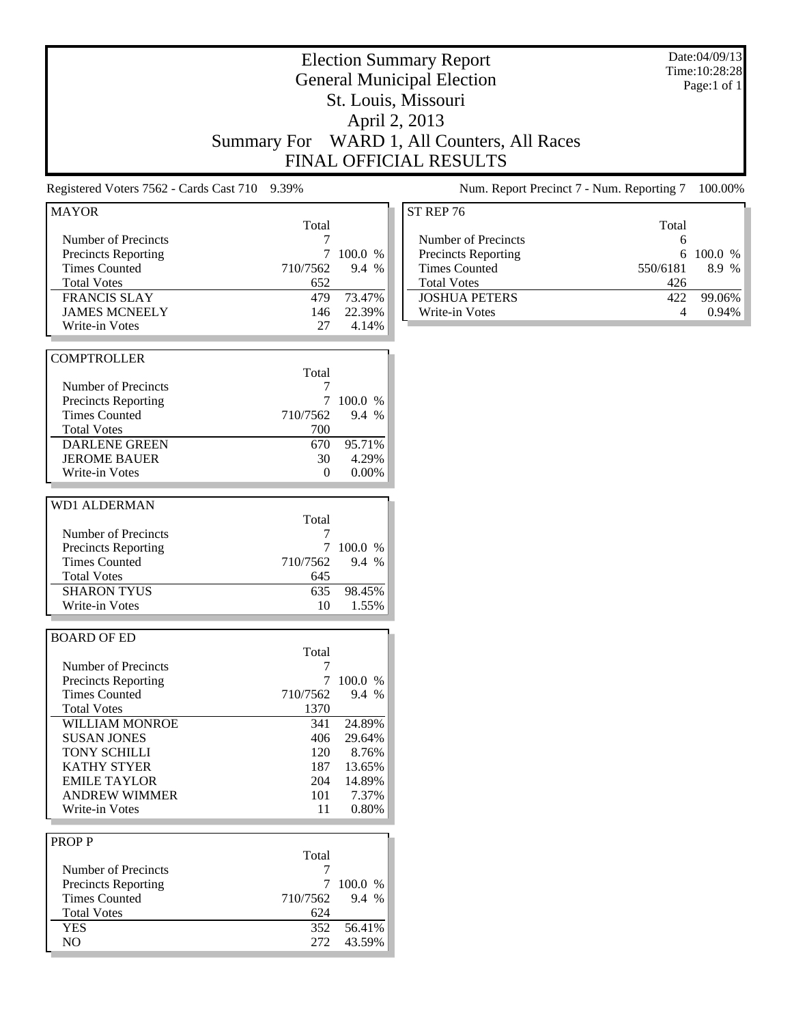|                                               |                    |           | <b>Election Summary Report</b><br><b>General Municipal Election</b> |          | Date:04/09/13<br>Time: 10:28:28<br>Page:1 of 1 |
|-----------------------------------------------|--------------------|-----------|---------------------------------------------------------------------|----------|------------------------------------------------|
|                                               |                    |           | St. Louis, Missouri                                                 |          |                                                |
|                                               |                    |           | April 2, 2013                                                       |          |                                                |
|                                               | <b>Summary For</b> |           | WARD 1, All Counters, All Races                                     |          |                                                |
|                                               |                    |           | FINAL OFFICIAL RESULTS                                              |          |                                                |
| Registered Voters 7562 - Cards Cast 710 9.39% |                    |           | Num. Report Precinct 7 - Num. Reporting 7                           |          | 100.00%                                        |
| <b>MAYOR</b>                                  |                    |           | ST REP 76                                                           |          |                                                |
| Number of Precincts                           | Total              |           | Number of Precincts                                                 | Total    |                                                |
| <b>Precincts Reporting</b>                    | 7<br>7             | 100.0 %   | Precincts Reporting                                                 | 6<br>6   | 100.0 %                                        |
| <b>Times Counted</b>                          | 710/7562           | 9.4 %     | <b>Times Counted</b>                                                | 550/6181 | 8.9 %                                          |
|                                               |                    |           | <b>Total Votes</b>                                                  |          |                                                |
| <b>Total Votes</b>                            | 652                |           |                                                                     | 426      |                                                |
| <b>FRANCIS SLAY</b>                           | 479                | 73.47%    | <b>JOSHUA PETERS</b>                                                | 422      | 99.06%                                         |
| <b>JAMES MCNEELY</b>                          | 146                | 22.39%    | Write-in Votes                                                      | 4        | 0.94%                                          |
| Write-in Votes                                | 27                 | 4.14%     |                                                                     |          |                                                |
| <b>COMPTROLLER</b>                            |                    |           |                                                                     |          |                                                |
|                                               | Total              |           |                                                                     |          |                                                |
| Number of Precincts                           | 7                  |           |                                                                     |          |                                                |
| Precincts Reporting                           | 7                  | 100.0 %   |                                                                     |          |                                                |
| <b>Times Counted</b>                          | 710/7562           | 9.4 %     |                                                                     |          |                                                |
| <b>Total Votes</b>                            | 700                |           |                                                                     |          |                                                |
| <b>DARLENE GREEN</b>                          | 670                | 95.71%    |                                                                     |          |                                                |
| <b>JEROME BAUER</b>                           | 30                 | 4.29%     |                                                                     |          |                                                |
| Write-in Votes                                | $\Omega$           | $0.00\%$  |                                                                     |          |                                                |
|                                               |                    |           |                                                                     |          |                                                |
| <b>WD1 ALDERMAN</b>                           |                    |           |                                                                     |          |                                                |
|                                               | Total              |           |                                                                     |          |                                                |
| Number of Precincts                           | 7                  |           |                                                                     |          |                                                |
| <b>Precincts Reporting</b>                    |                    | 100.0 %   |                                                                     |          |                                                |
| <b>Times Counted</b>                          | 710/7562           | 9.4 %     |                                                                     |          |                                                |
| <b>Total Votes</b>                            | 645                |           |                                                                     |          |                                                |
| <b>SHARON TYUS</b>                            | 635                | 98.45%    |                                                                     |          |                                                |
| Write-in Votes                                | 10                 | 1.55%     |                                                                     |          |                                                |
|                                               |                    |           |                                                                     |          |                                                |
| <b>BOARD OF ED</b>                            |                    |           |                                                                     |          |                                                |
|                                               | Total              |           |                                                                     |          |                                                |
| Number of Precincts                           | 7                  |           |                                                                     |          |                                                |
| <b>Precincts Reporting</b>                    |                    | 7 100.0 % |                                                                     |          |                                                |
| <b>Times Counted</b>                          | 710/7562           | 9.4 %     |                                                                     |          |                                                |
| <b>Total Votes</b>                            | 1370               |           |                                                                     |          |                                                |
| WILLIAM MONROE                                | 341                | 24.89%    |                                                                     |          |                                                |
| <b>SUSAN JONES</b>                            | 406                | 29.64%    |                                                                     |          |                                                |
| TONY SCHILLI                                  | 120                | 8.76%     |                                                                     |          |                                                |
| <b>KATHY STYER</b>                            | 187                | 13.65%    |                                                                     |          |                                                |
| <b>EMILE TAYLOR</b>                           | 204                | 14.89%    |                                                                     |          |                                                |
| <b>ANDREW WIMMER</b>                          | 101                | 7.37%     |                                                                     |          |                                                |
| Write-in Votes                                | 11                 | 0.80%     |                                                                     |          |                                                |
|                                               |                    |           |                                                                     |          |                                                |
| <b>PROPP</b>                                  |                    |           |                                                                     |          |                                                |
|                                               | Total              |           |                                                                     |          |                                                |
| Number of Precincts                           | 7                  |           |                                                                     |          |                                                |
| <b>Precincts Reporting</b>                    | 7                  | 100.0 %   |                                                                     |          |                                                |
| <b>Times Counted</b>                          | 710/7562           | 9.4 %     |                                                                     |          |                                                |
| <b>Total Votes</b>                            | 624                |           |                                                                     |          |                                                |
| <b>YES</b>                                    | 352                | 56.41%    |                                                                     |          |                                                |
| $\rm NO$                                      | 272                | 43.59%    |                                                                     |          |                                                |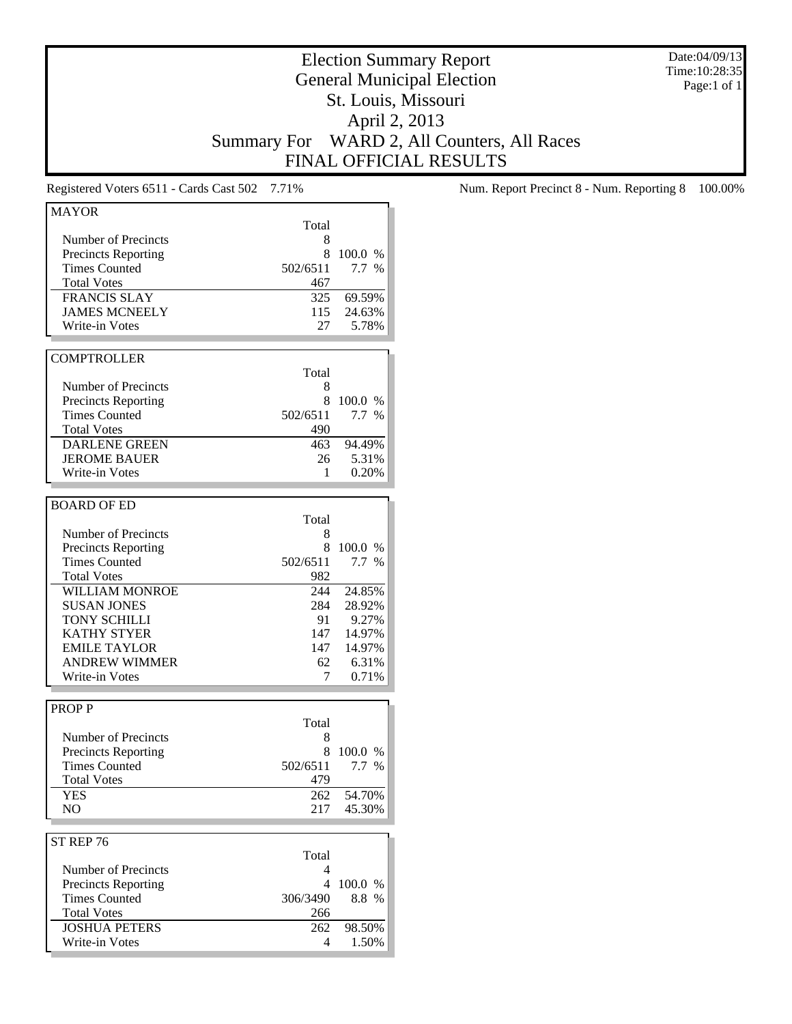Date:04/09/13 Time:10:28:35 Page:1 of 1

# Election Summary Report General Municipal Election St. Louis, Missouri April 2, 2013 Summary For WARD 2, All Counters, All Races FINAL OFFICIAL RESULTS

| <b>MAYOR</b>                           |          |         |
|----------------------------------------|----------|---------|
|                                        | Total    |         |
| Number of Precincts                    | 8        |         |
| <b>Precincts Reporting</b>             | 8        | 100.0 % |
| <b>Times Counted</b>                   | 502/6511 | 7.7 %   |
| <b>Total Votes</b>                     | 467      |         |
| <b>FRANCIS SLAY</b>                    | 325      | 69.59%  |
| <b>JAMES MCNEELY</b>                   | 115      | 24.63%  |
| Write-in Votes                         | 27       | 5.78%   |
|                                        |          |         |
| <b>COMPTROLLER</b>                     |          |         |
|                                        | Total    |         |
|                                        |          |         |
| Number of Precincts                    | 8        |         |
| <b>Precincts Reporting</b>             | 8        | 100.0 % |
| <b>Times Counted</b>                   | 502/6511 | $7.7\%$ |
| <b>Total Votes</b>                     | 490      |         |
| <b>DARLENE GREEN</b>                   | 463      | 94.49%  |
| <b>JEROME BAUER</b>                    | 26       | 5.31%   |
| Write-in Votes                         | 1        | 0.20%   |
|                                        |          |         |
| <b>BOARD OF ED</b>                     |          |         |
|                                        | Total    |         |
| Number of Precincts                    | 8        |         |
| <b>Precincts Reporting</b>             | 8        | 100.0 % |
| <b>Times Counted</b>                   | 502/6511 | 7.7%    |
| <b>Total Votes</b>                     | 982      |         |
| WILLIAM MONROE                         | 244      | 24.85%  |
| <b>SUSAN JONES</b>                     | 284      | 28.92%  |
| <b>TONY SCHILLI</b>                    | 91       | 9.27%   |
| <b>KATHY STYER</b>                     | 147      | 14.97%  |
| <b>EMILE TAYLOR</b>                    | 147      | 14.97%  |
| <b>ANDREW WIMMER</b>                   | 62       | 6.31%   |
| Write-in Votes                         | 7        | 0.71%   |
|                                        |          |         |
|                                        |          |         |
| <b>PROPP</b>                           |          |         |
|                                        | Total    |         |
| Number of Precincts                    | 8        |         |
| <b>Precincts Reporting</b>             | 8        | 100.0 % |
| <b>Times Counted</b>                   | 502/6511 | 7.7%    |
| <b>Total Votes</b>                     | 479      |         |
| <b>YES</b>                             | 262      | 54.70%  |
| NO                                     | 217      | 45.30%  |
|                                        |          |         |
| ST REP 76                              |          |         |
|                                        | Total    |         |
| Number of Precincts                    | 4        |         |
| <b>Precincts Reporting</b>             | 4        | 100.0 % |
| <b>Times Counted</b>                   | 306/3490 | 8.8 %   |
| <b>Total Votes</b>                     | 266      |         |
|                                        | 262      | 98.50%  |
|                                        |          |         |
| <b>JOSHUA PETERS</b><br>Write-in Votes | 4        | 1.50%   |

Registered Voters 6511 - Cards Cast 502 7.71% Num. Report Precinct 8 - Num. Reporting 8 100.00%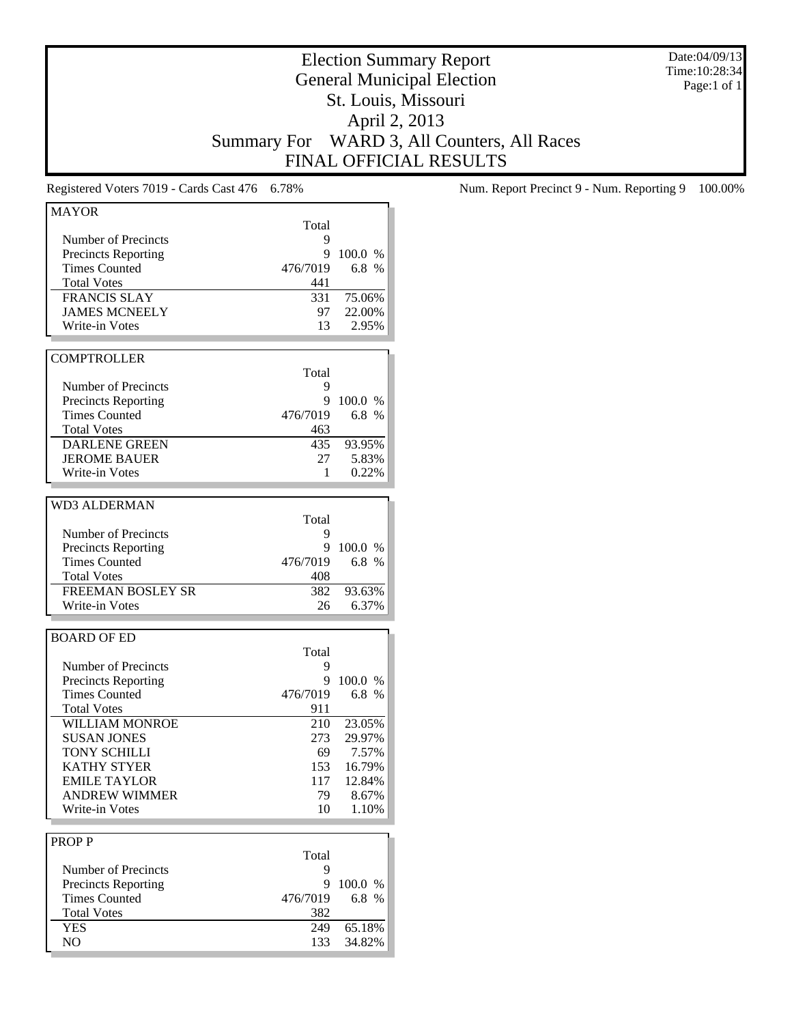Date:04/09/13 Time:10:28:34 Page:1 of 1

# Election Summary Report General Municipal Election St. Louis, Missouri April 2, 2013 Summary For WARD 3, All Counters, All Races FINAL OFFICIAL RESULTS

| <b>MAYOR</b>               |          |         |
|----------------------------|----------|---------|
|                            | Total    |         |
| Number of Precincts        | 9        |         |
| <b>Precincts Reporting</b> | 9        | 100.0 % |
| <b>Times Counted</b>       | 476/7019 | 6.8 %   |
| <b>Total Votes</b>         | 441      |         |
| <b>FRANCIS SLAY</b>        | 331      | 75.06%  |
| <b>JAMES MCNEELY</b>       | 97       | 22.00%  |
| Write-in Votes             | 13       | 2.95%   |
|                            |          |         |
| <b>COMPTROLLER</b>         |          |         |
|                            | Total    |         |
| Number of Precincts        | 9        |         |
| <b>Precincts Reporting</b> | 9        | 100.0 % |
| <b>Times Counted</b>       | 476/7019 | 6.8 %   |
| <b>Total Votes</b>         | 463      |         |
| <b>DARLENE GREEN</b>       | 435      | 93.95%  |
| <b>JEROME BAUER</b>        | 27       | 5.83%   |
| Write-in Votes             | 1        | 0.22%   |
|                            |          |         |
| <b>WD3 ALDERMAN</b>        |          |         |
|                            | Total    |         |
| Number of Precincts        | 9        |         |
| <b>Precincts Reporting</b> | 9        | 100.0 % |
| <b>Times Counted</b>       | 476/7019 | 6.8 %   |
| <b>Total Votes</b>         | 408      |         |
| <b>FREEMAN BOSLEY SR</b>   | 382      | 93.63%  |
| Write-in Votes             |          | 6.37%   |
|                            | 26       |         |
|                            |          |         |
| <b>BOARD OF ED</b>         |          |         |
|                            | Total    |         |
| Number of Precincts        | 9        |         |
| <b>Precincts Reporting</b> | 9        | 100.0 % |
| <b>Times Counted</b>       | 476/7019 | 6.8%    |
| <b>Total Votes</b>         | 911      |         |
| WILLIAM MONROE             | 210      | 23.05%  |
| <b>SUSAN JONES</b>         | 273      | 29.97%  |
| TONY SCHILLI               | 69       | 7.57%   |
| <b>KATHY STYER</b>         | 153      | 16.79%  |
| <b>EMILE TAYLOR</b>        | 117      | 12.84%  |
| <b>ANDREW WIMMER</b>       | 79       | 8.67%   |
| Write-in Votes             | 10       | 1.10%   |
|                            |          |         |
| <b>PROPP</b>               |          |         |
|                            | Total    |         |
| Number of Precincts        | 9        |         |
| <b>Precincts Reporting</b> | 9        | 100.0 % |
| <b>Times Counted</b>       | 476/7019 | 6.8 %   |
| <b>Total Votes</b>         | 382      |         |
| <b>YES</b>                 | 249      | 65.18%  |
| NO                         | 133      | 34.82%  |
|                            |          |         |

Registered Voters 7019 - Cards Cast 476 6.78% Num. Report Precinct 9 - Num. Reporting 9 100.00%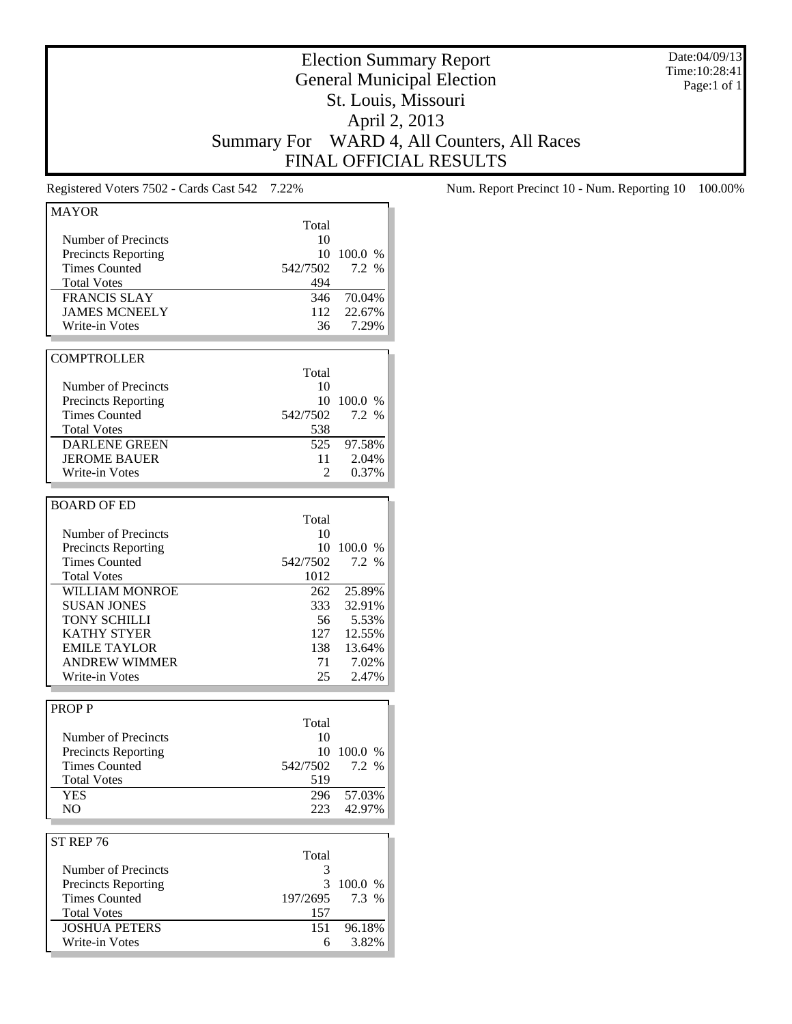Date:04/09/13 Time:10:28:41 Page:1 of 1

# Election Summary Report General Municipal Election St. Louis, Missouri April 2, 2013 Summary For WARD 4, All Counters, All Races FINAL OFFICIAL RESULTS

| <b>MAYOR</b>                                  |          |                 |
|-----------------------------------------------|----------|-----------------|
|                                               | Total    |                 |
| <b>Number of Precincts</b>                    | 10       |                 |
| <b>Precincts Reporting</b>                    | 10       | 100.0 %         |
| <b>Times Counted</b>                          | 542/7502 | 7.2 %           |
| <b>Total Votes</b>                            | 494      |                 |
| <b>FRANCIS SLAY</b>                           | 346      | 70.04%          |
| <b>JAMES MCNEELY</b>                          | 112      | 22.67%          |
| Write-in Votes                                | 36       | 7.29%           |
|                                               |          |                 |
|                                               |          |                 |
| <b>COMPTROLLER</b>                            |          |                 |
|                                               | Total    |                 |
| Number of Precincts                           | 10       |                 |
| <b>Precincts Reporting</b>                    | 10       | 100.0 %         |
| <b>Times Counted</b>                          | 542/7502 | 7.2 %           |
| <b>Total Votes</b>                            | 538      |                 |
| <b>DARLENE GREEN</b>                          | 525      | 97.58%          |
| <b>JEROME BAUER</b>                           | 11       | 2.04%           |
| Write-in Votes                                | 2        | 0.37%           |
|                                               |          |                 |
| <b>BOARD OF ED</b>                            |          |                 |
|                                               | Total    |                 |
| Number of Precincts                           | 10       |                 |
| <b>Precincts Reporting</b>                    | 10       | 100.0%          |
| <b>Times Counted</b>                          | 542/7502 | 7.2 %           |
| <b>Total Votes</b>                            | 1012     |                 |
| <b>WILLIAM MONROE</b>                         | 262      |                 |
|                                               |          | 25.89%          |
| <b>SUSAN JONES</b>                            | 333      | 32.91%          |
| TONY SCHILLI                                  | 56       | 5.53%           |
| <b>KATHY STYER</b>                            | 127      | 12.55%          |
| <b>EMILE TAYLOR</b>                           | 138      | 13.64%          |
| <b>ANDREW WIMMER</b>                          | 71       | 7.02%           |
| Write-in Votes                                | 25       | 2.47%           |
|                                               |          |                 |
| <b>PROPP</b>                                  |          |                 |
|                                               | Total    |                 |
| Number of Precincts                           | 10       |                 |
| <b>Precincts Reporting</b>                    | 10       | 100.0 %         |
| <b>Times Counted</b>                          | 542/7502 | 7.2 %           |
| <b>Total Votes</b>                            | 519      |                 |
| YES                                           | 296      | 57.03%          |
| NO                                            | 223      | 42.97%          |
|                                               |          |                 |
| ST REP 76                                     |          |                 |
|                                               | Total    |                 |
|                                               | 3        |                 |
|                                               |          |                 |
| Number of Precincts                           |          |                 |
| <b>Precincts Reporting</b>                    | 3        | 100.0 %         |
| <b>Times Counted</b>                          | 197/2695 | 7.3 %           |
| <b>Total Votes</b>                            | 157      |                 |
| <b>JOSHUA PETERS</b><br><b>Write-in Votes</b> | 151<br>6 | 96.18%<br>3.82% |

Registered Voters 7502 - Cards Cast 542 7.22% Num. Report Precinct 10 - Num. Reporting 10 100.00%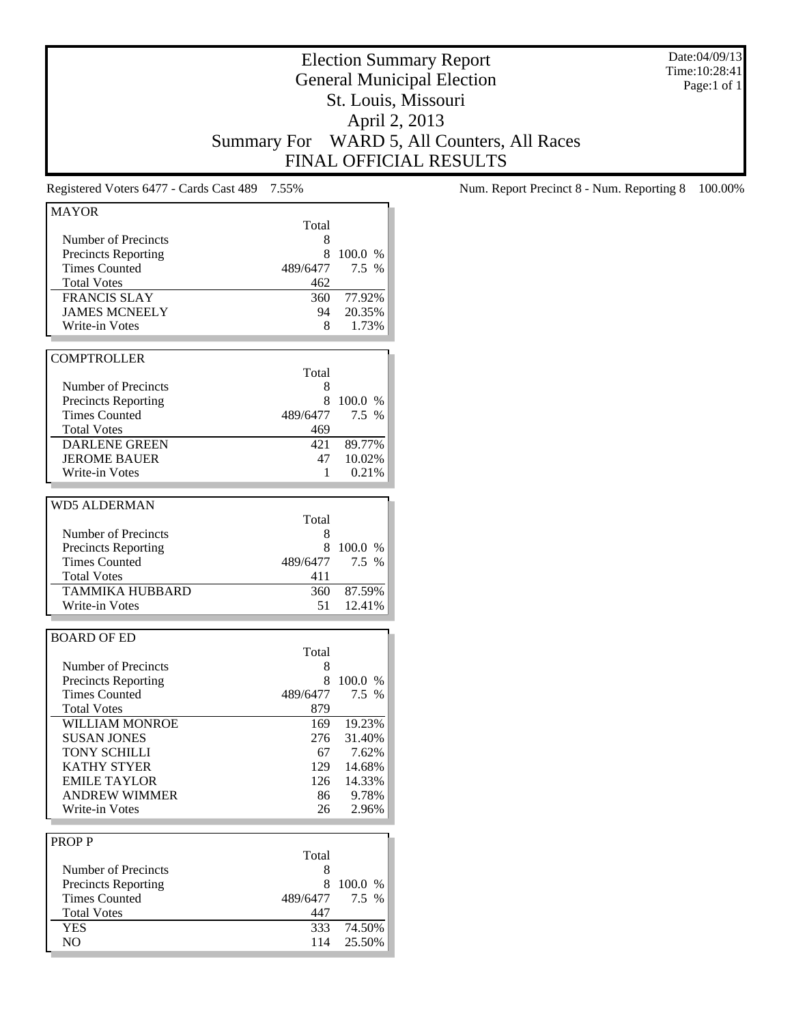Date:04/09/13 Time:10:28:41 Page:1 of 1

# Election Summary Report General Municipal Election St. Louis, Missouri April 2, 2013 Summary For WARD 5, All Counters, All Races FINAL OFFICIAL RESULTS

| 100.0 %<br>7.5 %<br>77.92%<br>20.35%<br>1.73%<br>100.0 %<br>$7.5\%$ |
|---------------------------------------------------------------------|
|                                                                     |
|                                                                     |
|                                                                     |
|                                                                     |
|                                                                     |
|                                                                     |
|                                                                     |
|                                                                     |
|                                                                     |
|                                                                     |
|                                                                     |
|                                                                     |
|                                                                     |
|                                                                     |
|                                                                     |
|                                                                     |
| 89.77%                                                              |
| 10.02%                                                              |
| 0.21%                                                               |
|                                                                     |
|                                                                     |
|                                                                     |
|                                                                     |
| 100.0%                                                              |
| 7.5 %                                                               |
|                                                                     |
| 87.59%                                                              |
| 12.41%                                                              |
|                                                                     |
|                                                                     |
|                                                                     |
|                                                                     |
|                                                                     |
| 100.0 %                                                             |
| 7.5 %                                                               |
|                                                                     |
|                                                                     |
| 169 19.23%                                                          |
| 31.40%                                                              |
| 7.62%                                                               |
| 14.68%                                                              |
| 126 14.33%                                                          |
| 9.78%                                                               |
| 2.96%                                                               |
|                                                                     |
|                                                                     |
|                                                                     |
|                                                                     |
| 100.0 %                                                             |
| 7.5 %                                                               |
|                                                                     |
| 74.50%                                                              |
|                                                                     |

Registered Voters 6477 - Cards Cast 489 7.55% Num. Report Precinct 8 - Num. Reporting 8 100.00%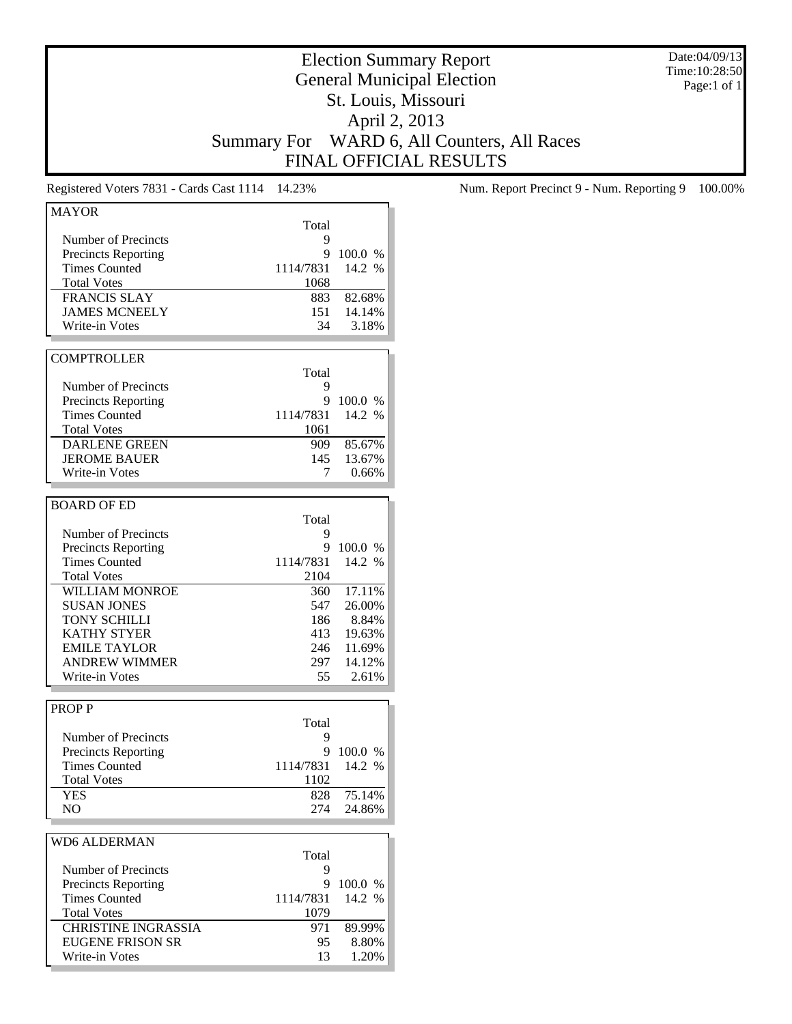Date:04/09/13 Time:10:28:50 Page:1 of 1

# Election Summary Report General Municipal Election St. Louis, Missouri April 2, 2013 Summary For WARD 6, All Counters, All Races FINAL OFFICIAL RESULTS

| <b>MAYOR</b>               |           |           |
|----------------------------|-----------|-----------|
|                            | Total     |           |
| Number of Precincts        | 9         |           |
| <b>Precincts Reporting</b> | 9         | 100.0 %   |
| <b>Times Counted</b>       | 1114/7831 | 14.2 %    |
| <b>Total Votes</b>         | 1068      |           |
| <b>FRANCIS SLAY</b>        | 883       | 82.68%    |
| <b>JAMES MCNEELY</b>       | 151       | 14.14%    |
| Write-in Votes             | 34        | 3.18%     |
|                            |           |           |
| <b>COMPTROLLER</b>         |           |           |
|                            | Total     |           |
|                            |           |           |
| Number of Precincts        | 9         |           |
| <b>Precincts Reporting</b> |           | 9 100.0 % |
| <b>Times Counted</b>       | 1114/7831 | 14.2 %    |
| <b>Total Votes</b>         | 1061      |           |
| <b>DARLENE GREEN</b>       | 909 -     | 85.67%    |
| <b>JEROME BAUER</b>        | 145       | 13.67%    |
| Write-in Votes             | 7         | 0.66%     |
|                            |           |           |
| <b>BOARD OF ED</b>         |           |           |
|                            | Total     |           |
| Number of Precincts        | 9         |           |
| <b>Precincts Reporting</b> | 9         | 100.0%    |
| <b>Times Counted</b>       | 1114/7831 | 14.2 %    |
| <b>Total Votes</b>         | 2104      |           |
| WILLIAM MONROE             | 360       | 17.11%    |
| <b>SUSAN JONES</b>         | 547       | 26.00%    |
| <b>TONY SCHILLI</b>        | 186       | 8.84%     |
| <b>KATHY STYER</b>         | 413       | 19.63%    |
| <b>EMILE TAYLOR</b>        | 246       | 11.69%    |
| <b>ANDREW WIMMER</b>       | 297       | 14.12%    |
|                            |           |           |
| Write-in Votes             | 55        | 2.61%     |
|                            |           |           |
| <b>PROPP</b>               |           |           |
|                            | Total     |           |
| Number of Precincts        | 9         |           |
| <b>Precincts Reporting</b> |           | 9 100.0 % |
| <b>Times Counted</b>       | 1114/7831 | 14.2 %    |
| <b>Total Votes</b>         | 1102      |           |
| YES                        | 828       | 75.14%    |
| N <sub>O</sub>             | 274       | 24.86%    |
|                            |           |           |
| <b>WD6 ALDERMAN</b>        |           |           |
|                            | Total     |           |
| Number of Precincts        | 9         |           |
| <b>Precincts Reporting</b> | 9         | 100.0 %   |
| <b>Times Counted</b>       | 1114/7831 | 14.2 %    |
| <b>Total Votes</b>         | 1079      |           |
| <b>CHRISTINE INGRASSIA</b> | 971       | 89.99%    |
| <b>EUGENE FRISON SR</b>    | 95        | 8.80%     |
| Write-in Votes             | 13        | 1.20%     |
|                            |           |           |
|                            |           |           |

Registered Voters 7831 - Cards Cast 1114 14.23% Num. Report Precinct 9 - Num. Reporting 9 100.00%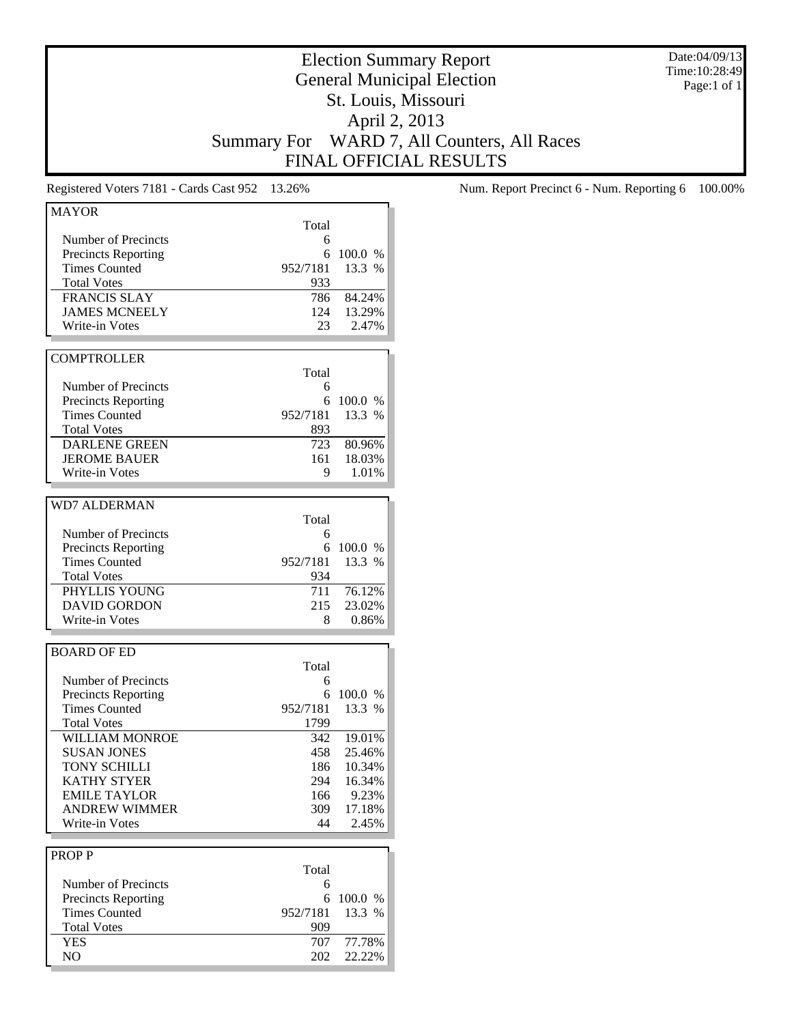Date:04/09/13 Time:10:28:49 Page:1 of 1

# Election Summary Report General Municipal Election St. Louis, Missouri April 2, 2013 Summary For WARD 7, All Counters, All Races FINAL OFFICIAL RESULTS

| <b>MAYOR</b>               |          |            |
|----------------------------|----------|------------|
|                            | Total    |            |
| Number of Precincts        | 6        |            |
| <b>Precincts Reporting</b> | 6        | 100.0 %    |
| <b>Times Counted</b>       | 952/7181 | 13.3 %     |
| <b>Total Votes</b>         | 933      |            |
| <b>FRANCIS SLAY</b>        | 786      | 84.24%     |
| <b>JAMES MCNEELY</b>       | 124      | 13.29%     |
| Write-in Votes             |          | 2.47%      |
|                            | 23.      |            |
|                            |          |            |
| <b>COMPTROLLER</b>         |          |            |
|                            | Total    |            |
| Number of Precincts        | 6        |            |
| <b>Precincts Reporting</b> | 6        | 100.0 %    |
| <b>Times Counted</b>       | 952/7181 | 13.3 %     |
| <b>Total Votes</b>         | 893      |            |
| <b>DARLENE GREEN</b>       | 723      | 80.96%     |
| <b>JEROME BAUER</b>        | 161      | 18.03%     |
| Write-in Votes             | 9        | 1.01%      |
|                            |          |            |
| <b>WD7 ALDERMAN</b>        |          |            |
|                            | Total    |            |
|                            |          |            |
| Number of Precincts        | 6        | 100.0 %    |
| <b>Precincts Reporting</b> | 6        |            |
| <b>Times Counted</b>       | 952/7181 | 13.3 %     |
| <b>Total Votes</b>         | 934      |            |
| PHYLLIS YOUNG              | 711      | 76.12%     |
| <b>DAVID GORDON</b>        | 215      | 23.02%     |
| Write-in Votes             | 8        | 0.86%      |
|                            |          |            |
| <b>BOARD OF ED</b>         |          |            |
|                            | Total    |            |
| Number of Precincts        | 6        |            |
| <b>Precincts Reporting</b> | 6        | 100.0 %    |
| <b>Times Counted</b>       | 952/7181 | 13.3 %     |
| <b>Total Votes</b>         | 1799     |            |
| <b>WILLIAM MONROE</b>      |          | 342 19.01% |
| <b>SUSAN JONES</b>         | 458      | 25.46%     |
| TONY SCHILLI               | 186      | 10.34%     |
| <b>KATHY STYER</b>         | 294      | 16.34%     |
| <b>EMILE TAYLOR</b>        | 166      | 9.23%      |
| <b>ANDREW WIMMER</b>       | 309      |            |
|                            |          | 17.18%     |
| Write-in Votes             | 44       | 2.45%      |
|                            |          |            |
| <b>PROPP</b>               |          |            |
|                            | Total    |            |
| Number of Precincts        | 6        |            |
| <b>Precincts Reporting</b> | 6        | 100.0 %    |
| <b>Times Counted</b>       | 952/7181 | 13.3 %     |
| <b>Total Votes</b>         | 909      |            |
| <b>YES</b>                 | 707      | 77.78%     |
| NO                         | 202      | 22.22%     |
|                            |          |            |

Registered Voters 7181 - Cards Cast 952 13.26% Num. Report Precinct 6 - Num. Reporting 6 100.00%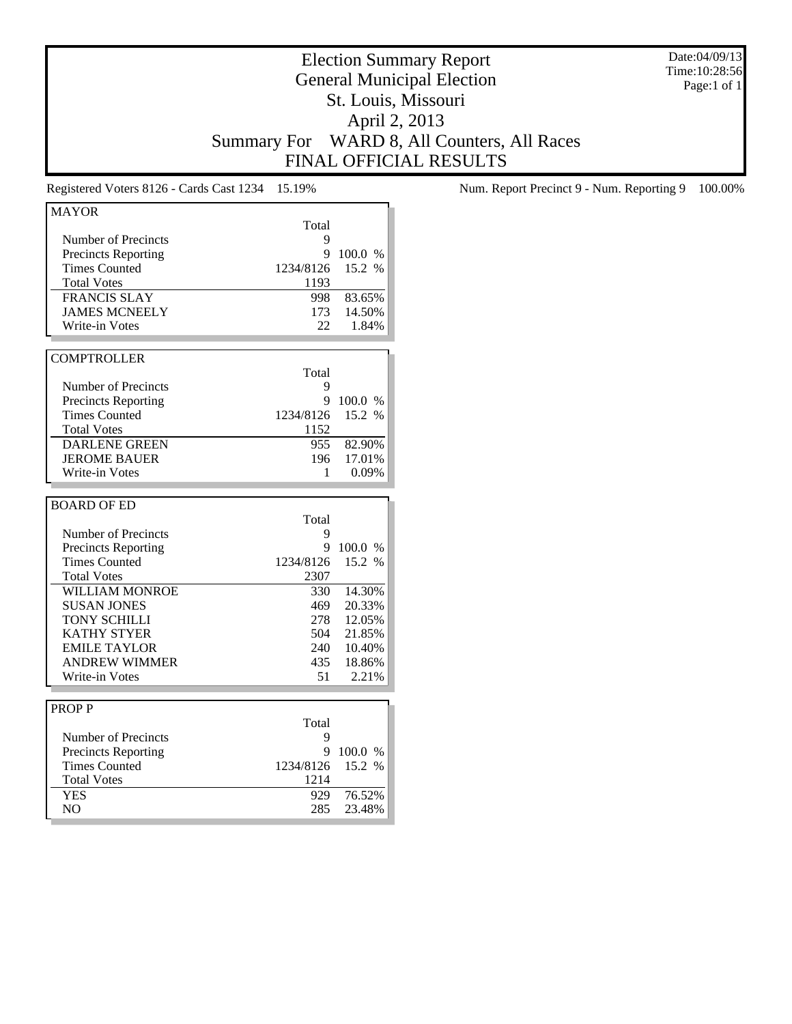Date:04/09/13 Time:10:28:56 Page:1 of 1

# Election Summary Report General Municipal Election St. Louis, Missouri April 2, 2013 Summary For WARD 8, All Counters, All Races FINAL OFFICIAL RESULTS

| <b>MAYOR</b>               |           |            |
|----------------------------|-----------|------------|
|                            | Total     |            |
| Number of Precincts        | 9         |            |
| <b>Precincts Reporting</b> | 9         | 100.0 %    |
| <b>Times Counted</b>       | 1234/8126 | 15.2 %     |
| <b>Total Votes</b>         | 1193      |            |
| <b>FRANCIS SLAY</b>        | 998       | 83.65%     |
| <b>JAMES MCNEELY</b>       | 173       | 14.50%     |
| Write-in Votes             | 22        | 1.84%      |
|                            |           |            |
| <b>COMPTROLLER</b>         |           |            |
|                            | Total     |            |
| Number of Precincts        | 9         |            |
| <b>Precincts Reporting</b> | 9         | 100.0 %    |
| <b>Times Counted</b>       | 1234/8126 | 15.2 %     |
| <b>Total Votes</b>         | 1152      |            |
| <b>DARLENE GREEN</b>       | 955       | 82.90%     |
| <b>JEROME BAUER</b>        | 196       | 17.01%     |
| <b>Write-in Votes</b>      | 1         |            |
|                            |           | 0.09%      |
|                            |           |            |
| <b>BOARD OF ED</b>         |           |            |
|                            | Total     |            |
| Number of Precincts        | 9         |            |
| <b>Precincts Reporting</b> | 9         | 100.0 %    |
| <b>Times Counted</b>       |           |            |
|                            | 1234/8126 | 15.2 %     |
| <b>Total Votes</b>         | 2307      |            |
| <b>WILLIAM MONROE</b>      | 330       | 14.30%     |
| <b>SUSAN JONES</b>         | 469       | 20.33%     |
| <b>TONY SCHILLI</b>        | 278       | 12.05%     |
| <b>KATHY STYER</b>         | 504       | 21.85%     |
| <b>EMILE TAYLOR</b>        |           | 240 10.40% |
| <b>ANDREW WIMMER</b>       | 435       | 18.86%     |
| Write-in Votes             | 51        | 2.21%      |
|                            |           |            |
| <b>PROPP</b>               |           |            |
|                            | Total     |            |
| Number of Precincts        | 9         |            |
| <b>Precincts Reporting</b> | 9         | 100.0 %    |
| <b>Times Counted</b>       | 1234/8126 | 15.2 %     |
| <b>Total Votes</b>         | 1214      |            |
| <b>YES</b>                 | 929       | 76.52%     |

Registered Voters 8126 - Cards Cast 1234 15.19% Num. Report Precinct 9 - Num. Reporting 9 100.00%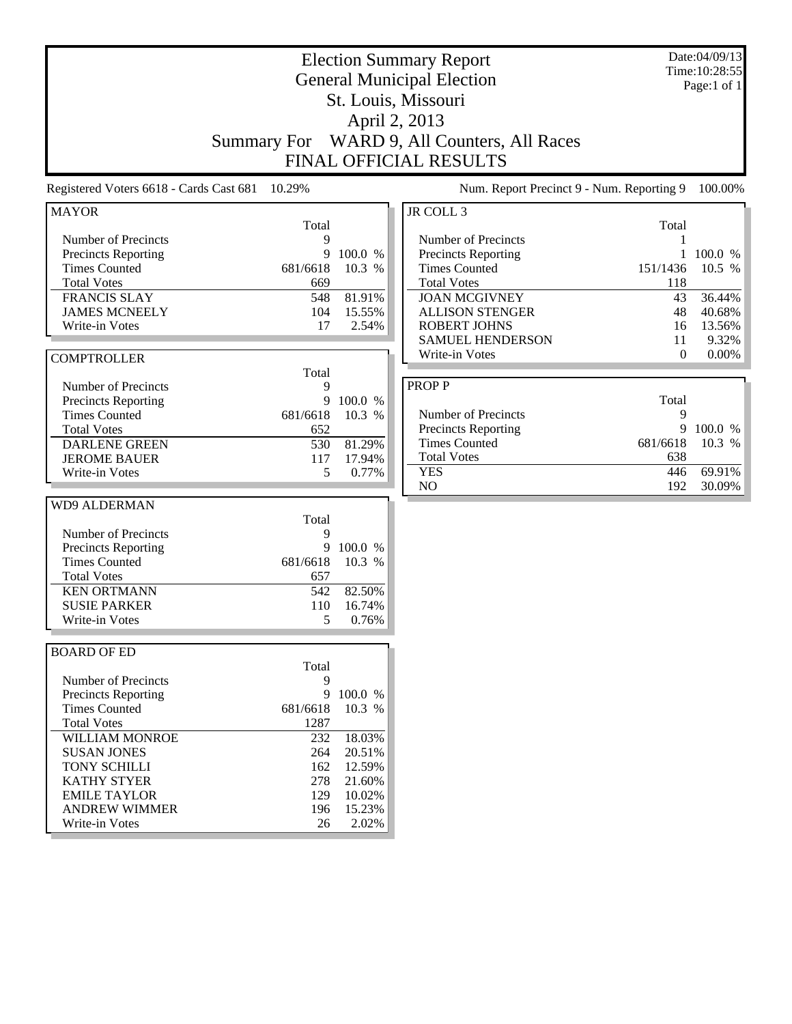|                                                   |                    |                  |                                                   | Date:04/09/13<br><b>Election Summary Report</b><br>Time: 10:28:55 |             |  |  |  |
|---------------------------------------------------|--------------------|------------------|---------------------------------------------------|-------------------------------------------------------------------|-------------|--|--|--|
|                                                   |                    |                  | <b>General Municipal Election</b>                 |                                                                   | Page:1 of 1 |  |  |  |
|                                                   |                    |                  | St. Louis, Missouri                               |                                                                   |             |  |  |  |
|                                                   |                    |                  | April 2, 2013                                     |                                                                   |             |  |  |  |
|                                                   | <b>Summary For</b> |                  | WARD 9, All Counters, All Races                   |                                                                   |             |  |  |  |
|                                                   |                    |                  | <b>FINAL OFFICIAL RESULTS</b>                     |                                                                   |             |  |  |  |
| Registered Voters 6618 - Cards Cast 681           | 10.29%             |                  | Num. Report Precinct 9 - Num. Reporting 9         |                                                                   | 100.00%     |  |  |  |
| <b>MAYOR</b>                                      |                    |                  | JR COLL 3                                         |                                                                   |             |  |  |  |
|                                                   | Total              |                  |                                                   | Total                                                             |             |  |  |  |
| Number of Precincts<br><b>Precincts Reporting</b> | 9<br>9             | 100.0 %          | Number of Precincts<br><b>Precincts Reporting</b> | 1                                                                 | 100.0 %     |  |  |  |
| <b>Times Counted</b>                              | 681/6618           | 10.3 %           | <b>Times Counted</b>                              | 151/1436                                                          | 10.5 %      |  |  |  |
| <b>Total Votes</b>                                | 669                |                  | <b>Total Votes</b>                                | 118                                                               |             |  |  |  |
| <b>FRANCIS SLAY</b>                               | 548                | 81.91%           | <b>JOAN MCGIVNEY</b>                              | 43                                                                | 36.44%      |  |  |  |
| <b>JAMES MCNEELY</b>                              | 104                | 15.55%           | <b>ALLISON STENGER</b>                            | 48                                                                | 40.68%      |  |  |  |
| Write-in Votes                                    | 17                 | 2.54%            | <b>ROBERT JOHNS</b>                               | 16                                                                | 13.56%      |  |  |  |
|                                                   |                    |                  | <b>SAMUEL HENDERSON</b>                           | 11                                                                | 9.32%       |  |  |  |
| <b>COMPTROLLER</b>                                |                    |                  | Write-in Votes                                    | $\mathbf{0}$                                                      | $0.00\%$    |  |  |  |
|                                                   | Total              |                  |                                                   |                                                                   |             |  |  |  |
| Number of Precincts                               | 9                  |                  | <b>PROPP</b>                                      |                                                                   |             |  |  |  |
| Precincts Reporting                               | 9                  | 100.0 %          |                                                   | Total                                                             |             |  |  |  |
| <b>Times Counted</b>                              | 681/6618           | 10.3 %           | Number of Precincts                               | 9                                                                 |             |  |  |  |
| <b>Total Votes</b>                                | 652                |                  | <b>Precincts Reporting</b>                        | 9                                                                 | 100.0 %     |  |  |  |
| <b>DARLENE GREEN</b>                              | 530                | 81.29%           | <b>Times Counted</b>                              | 681/6618                                                          | 10.3 %      |  |  |  |
| <b>JEROME BAUER</b>                               | 117<br>5           | 17.94%           | <b>Total Votes</b><br><b>YES</b>                  | 638<br>446                                                        | 69.91%      |  |  |  |
| Write-in Votes                                    |                    | 0.77%            | NO                                                | 192                                                               | 30.09%      |  |  |  |
| <b>WD9 ALDERMAN</b>                               |                    |                  |                                                   |                                                                   |             |  |  |  |
|                                                   | Total              |                  |                                                   |                                                                   |             |  |  |  |
| Number of Precincts                               | 9                  |                  |                                                   |                                                                   |             |  |  |  |
| Precincts Reporting                               | 9                  | 100.0 %          |                                                   |                                                                   |             |  |  |  |
| <b>Times Counted</b>                              | 681/6618           | 10.3 %           |                                                   |                                                                   |             |  |  |  |
| <b>Total Votes</b>                                | 657                |                  |                                                   |                                                                   |             |  |  |  |
| <b>KEN ORTMANN</b>                                | 542                | 82.50%           |                                                   |                                                                   |             |  |  |  |
| <b>SUSIE PARKER</b>                               | 110                | 16.74%           |                                                   |                                                                   |             |  |  |  |
| Write-in Votes                                    | 5                  | 0.76%            |                                                   |                                                                   |             |  |  |  |
| <b>BOARD OF ED</b>                                |                    |                  |                                                   |                                                                   |             |  |  |  |
|                                                   | Total              |                  |                                                   |                                                                   |             |  |  |  |
| Number of Precincts                               | 9                  |                  |                                                   |                                                                   |             |  |  |  |
| <b>Precincts Reporting</b>                        |                    | 9 100.0 %        |                                                   |                                                                   |             |  |  |  |
| <b>Times Counted</b>                              | 681/6618           | 10.3 %           |                                                   |                                                                   |             |  |  |  |
| <b>Total Votes</b>                                | 1287               |                  |                                                   |                                                                   |             |  |  |  |
| <b>WILLIAM MONROE</b>                             | 232                | 18.03%           |                                                   |                                                                   |             |  |  |  |
| <b>SUSAN JONES</b>                                | 264                | 20.51%           |                                                   |                                                                   |             |  |  |  |
| <b>TONY SCHILLI</b>                               | 162                | 12.59%           |                                                   |                                                                   |             |  |  |  |
| <b>KATHY STYER</b><br><b>EMILE TAYLOR</b>         | 278                | 21.60%           |                                                   |                                                                   |             |  |  |  |
| <b>ANDREW WIMMER</b>                              | 129<br>196         | 10.02%<br>15.23% |                                                   |                                                                   |             |  |  |  |
| Write-in Votes                                    | 26                 | 2.02%            |                                                   |                                                                   |             |  |  |  |
|                                                   |                    |                  |                                                   |                                                                   |             |  |  |  |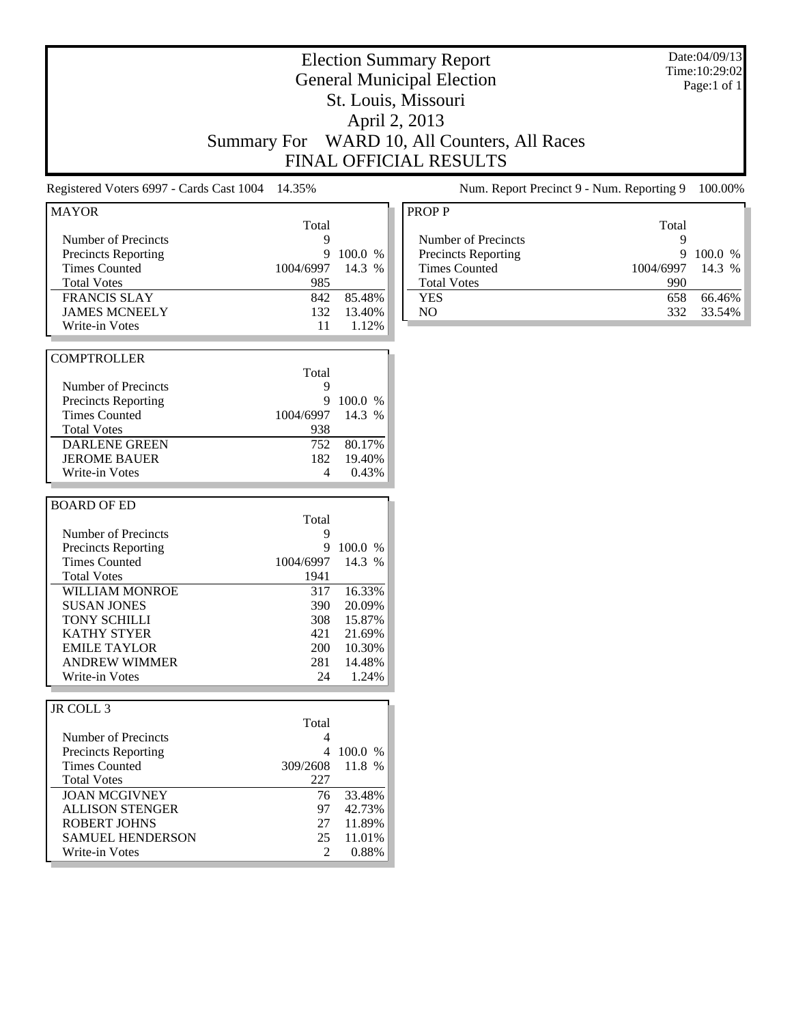|                                                                                                                                                                                                                                                                      | <b>Summary For</b>                                                                   |                                                                                        | <b>Election Summary Report</b><br><b>General Municipal Election</b><br>St. Louis, Missouri<br>April 2, 2013<br>WARD 10, All Counters, All Races<br><b>FINAL OFFICIAL RESULTS</b> |                                                   | Date:04/09/13<br>Time: 10:29:02<br>Page:1 of 1 |
|----------------------------------------------------------------------------------------------------------------------------------------------------------------------------------------------------------------------------------------------------------------------|--------------------------------------------------------------------------------------|----------------------------------------------------------------------------------------|----------------------------------------------------------------------------------------------------------------------------------------------------------------------------------|---------------------------------------------------|------------------------------------------------|
| Registered Voters 6997 - Cards Cast 1004                                                                                                                                                                                                                             | 14.35%                                                                               |                                                                                        | Num. Report Precinct 9 - Num. Reporting 9                                                                                                                                        |                                                   | 100.00%                                        |
| <b>MAYOR</b><br>Number of Precincts<br><b>Precincts Reporting</b><br><b>Times Counted</b><br><b>Total Votes</b><br><b>FRANCIS SLAY</b><br><b>JAMES MCNEELY</b><br>Write-in Votes                                                                                     | Total<br>9<br>9<br>1004/6997<br>985<br>842<br>132<br>11                              | 100.0 %<br>14.3 %<br>85.48%<br>13.40%<br>1.12%                                         | <b>PROPP</b><br>Number of Precincts<br><b>Precincts Reporting</b><br><b>Times Counted</b><br><b>Total Votes</b><br><b>YES</b><br>NO                                              | Total<br>9<br>9<br>1004/6997<br>990<br>658<br>332 | 100.0 %<br>14.3 %<br>66.46%<br>33.54%          |
| <b>COMPTROLLER</b><br>Number of Precincts<br><b>Precincts Reporting</b><br><b>Times Counted</b><br><b>Total Votes</b><br><b>DARLENE GREEN</b><br><b>JEROME BAUER</b><br>Write-in Votes                                                                               | Total<br>9<br>9<br>1004/6997<br>938<br>752<br>182<br>4                               | 100.0 %<br>14.3 %<br>80.17%<br>19.40%<br>0.43%                                         |                                                                                                                                                                                  |                                                   |                                                |
| <b>BOARD OF ED</b><br>Number of Precincts<br><b>Precincts Reporting</b><br><b>Times Counted</b><br><b>Total Votes</b><br>WILLIAM MONROE<br><b>SUSAN JONES</b><br><b>TONY SCHILLI</b><br>KATHY STYER<br><b>EMILE TAYLOR</b><br><b>ANDREW WIMMER</b><br>Write-in Votes | Total<br>9<br>9<br>1004/6997<br>1941<br>317<br>390<br>308<br>421<br>200<br>281<br>24 | 100.0 %<br>14.3 %<br>16.33%<br>20.09%<br>15.87%<br>21.69%<br>10.30%<br>14.48%<br>1.24% |                                                                                                                                                                                  |                                                   |                                                |
| JR COLL 3<br>Number of Precincts<br><b>Precincts Reporting</b><br><b>Times Counted</b><br><b>Total Votes</b><br><b>JOAN MCGIVNEY</b><br><b>ALLISON STENGER</b><br><b>ROBERT JOHNS</b><br><b>SAMUEL HENDERSON</b><br>Write-in Votes                                   | Total<br>4<br>309/2608<br>227<br>76<br>97<br>27<br>25<br>2                           | 4 100.0 %<br>11.8 %<br>33.48%<br>42.73%<br>11.89%<br>11.01%<br>0.88%                   |                                                                                                                                                                                  |                                                   |                                                |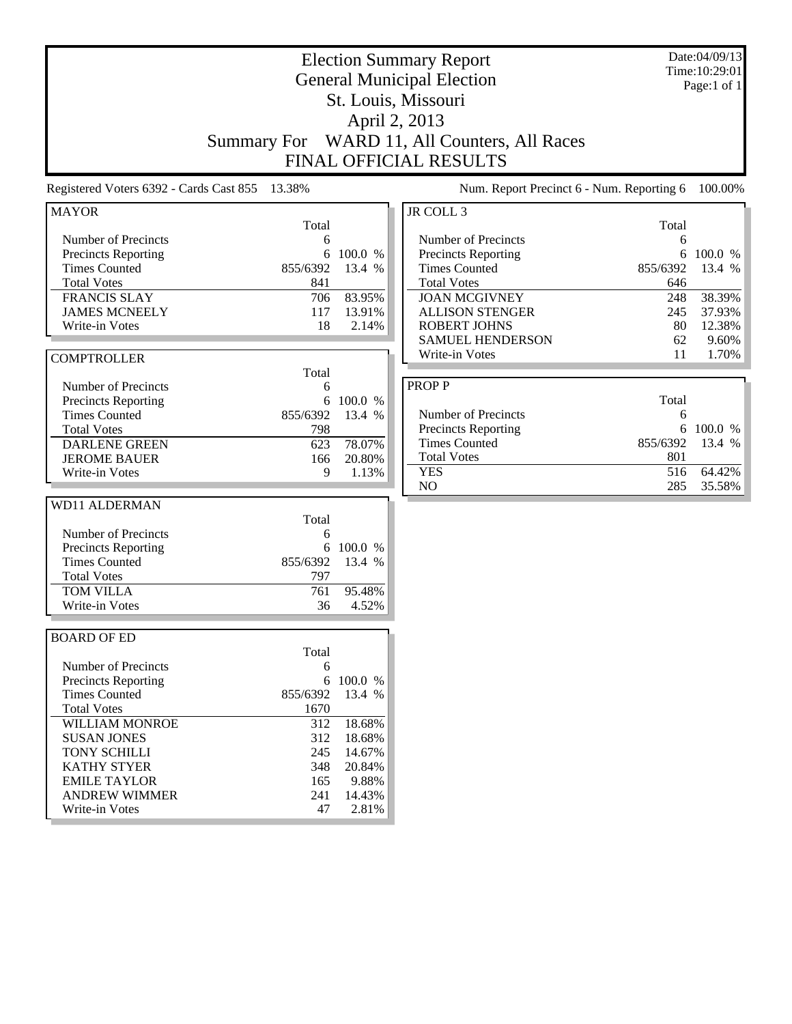| <b>General Municipal Election</b><br>Page:1 of 1<br>St. Louis, Missouri<br>April 2, 2013<br>WARD 11, All Counters, All Races<br><b>Summary For</b><br>FINAL OFFICIAL RESULTS<br>13.38%<br>Registered Voters 6392 - Cards Cast 855<br>Num. Report Precinct 6 - Num. Reporting 6<br>JR COLL 3<br><b>MAYOR</b><br>Total<br>Total<br>Number of Precincts<br>Number of Precincts<br>6<br>6<br>Precincts Reporting<br>100.0 %<br>Precincts Reporting<br>100.0 %<br>6<br>6<br><b>Times Counted</b><br>855/6392<br>13.4 %<br><b>Times Counted</b><br>13.4 %<br>855/6392<br><b>Total Votes</b><br><b>Total Votes</b><br>841<br>646<br><b>FRANCIS SLAY</b><br>83.95%<br><b>JOAN MCGIVNEY</b><br>38.39%<br>706<br>248<br><b>JAMES MCNEELY</b><br>117<br>13.91%<br><b>ALLISON STENGER</b><br>245<br>37.93%<br><b>ROBERT JOHNS</b><br>12.38%<br>Write-in Votes<br>18<br>2.14%<br>80<br><b>SAMUEL HENDERSON</b><br>62<br>9.60%<br>Write-in Votes<br>1.70%<br>11<br><b>COMPTROLLER</b><br>Total<br><b>PROPP</b><br>Number of Precincts<br>6<br>Total<br>Precincts Reporting<br>100.0 %<br>6<br><b>Times Counted</b><br>855/6392<br>Number of Precincts<br>13.4 %<br>6<br>Precincts Reporting<br>6<br>100.0 %<br><b>Total Votes</b><br>798<br><b>Times Counted</b><br>855/6392<br>13.4 %<br>78.07%<br><b>DARLENE GREEN</b><br>623<br><b>Total Votes</b><br>801<br><b>JEROME BAUER</b><br>20.80%<br>166<br>516<br>64.42%<br><b>YES</b><br>9<br>Write-in Votes<br>1.13%<br>NO<br>285<br>35.58%<br><b>WD11 ALDERMAN</b><br>Total<br>Number of Precincts<br>6<br>100.0 %<br>Precincts Reporting<br>6<br><b>Times Counted</b><br>855/6392<br>13.4 %<br>797<br><b>Total Votes</b><br>TOM VILLA<br>761<br>95.48%<br>36<br>4.52%<br>Write-in Votes<br><b>BOARD OF ED</b><br>Total<br>Number of Precincts<br>6<br><b>Precincts Reporting</b><br>6 100.0 %<br><b>Times Counted</b><br>855/6392<br>13.4 %<br><b>Total Votes</b><br>1670<br>18.68%<br>WILLIAM MONROE<br>312<br>312<br>18.68%<br><b>SUSAN JONES</b><br><b>TONY SCHILLI</b><br>245<br>14.67%<br><b>KATHY STYER</b><br>348<br>20.84%<br><b>EMILE TAYLOR</b><br>9.88%<br>165<br><b>ANDREW WIMMER</b><br>241<br>14.43%<br>Write-in Votes<br>47<br>2.81% |  | <b>Election Summary Report</b> | Date:04/09/13<br>Time: 10:29:01 |
|----------------------------------------------------------------------------------------------------------------------------------------------------------------------------------------------------------------------------------------------------------------------------------------------------------------------------------------------------------------------------------------------------------------------------------------------------------------------------------------------------------------------------------------------------------------------------------------------------------------------------------------------------------------------------------------------------------------------------------------------------------------------------------------------------------------------------------------------------------------------------------------------------------------------------------------------------------------------------------------------------------------------------------------------------------------------------------------------------------------------------------------------------------------------------------------------------------------------------------------------------------------------------------------------------------------------------------------------------------------------------------------------------------------------------------------------------------------------------------------------------------------------------------------------------------------------------------------------------------------------------------------------------------------------------------------------------------------------------------------------------------------------------------------------------------------------------------------------------------------------------------------------------------------------------------------------------------------------------------------------------------------------------------------------------------------------------------------------------------------------------------------------------------------------------------------|--|--------------------------------|---------------------------------|
|                                                                                                                                                                                                                                                                                                                                                                                                                                                                                                                                                                                                                                                                                                                                                                                                                                                                                                                                                                                                                                                                                                                                                                                                                                                                                                                                                                                                                                                                                                                                                                                                                                                                                                                                                                                                                                                                                                                                                                                                                                                                                                                                                                                        |  |                                |                                 |
|                                                                                                                                                                                                                                                                                                                                                                                                                                                                                                                                                                                                                                                                                                                                                                                                                                                                                                                                                                                                                                                                                                                                                                                                                                                                                                                                                                                                                                                                                                                                                                                                                                                                                                                                                                                                                                                                                                                                                                                                                                                                                                                                                                                        |  |                                |                                 |
|                                                                                                                                                                                                                                                                                                                                                                                                                                                                                                                                                                                                                                                                                                                                                                                                                                                                                                                                                                                                                                                                                                                                                                                                                                                                                                                                                                                                                                                                                                                                                                                                                                                                                                                                                                                                                                                                                                                                                                                                                                                                                                                                                                                        |  |                                |                                 |
|                                                                                                                                                                                                                                                                                                                                                                                                                                                                                                                                                                                                                                                                                                                                                                                                                                                                                                                                                                                                                                                                                                                                                                                                                                                                                                                                                                                                                                                                                                                                                                                                                                                                                                                                                                                                                                                                                                                                                                                                                                                                                                                                                                                        |  |                                |                                 |
|                                                                                                                                                                                                                                                                                                                                                                                                                                                                                                                                                                                                                                                                                                                                                                                                                                                                                                                                                                                                                                                                                                                                                                                                                                                                                                                                                                                                                                                                                                                                                                                                                                                                                                                                                                                                                                                                                                                                                                                                                                                                                                                                                                                        |  |                                |                                 |
|                                                                                                                                                                                                                                                                                                                                                                                                                                                                                                                                                                                                                                                                                                                                                                                                                                                                                                                                                                                                                                                                                                                                                                                                                                                                                                                                                                                                                                                                                                                                                                                                                                                                                                                                                                                                                                                                                                                                                                                                                                                                                                                                                                                        |  |                                |                                 |
|                                                                                                                                                                                                                                                                                                                                                                                                                                                                                                                                                                                                                                                                                                                                                                                                                                                                                                                                                                                                                                                                                                                                                                                                                                                                                                                                                                                                                                                                                                                                                                                                                                                                                                                                                                                                                                                                                                                                                                                                                                                                                                                                                                                        |  |                                | 100.00%                         |
|                                                                                                                                                                                                                                                                                                                                                                                                                                                                                                                                                                                                                                                                                                                                                                                                                                                                                                                                                                                                                                                                                                                                                                                                                                                                                                                                                                                                                                                                                                                                                                                                                                                                                                                                                                                                                                                                                                                                                                                                                                                                                                                                                                                        |  |                                |                                 |
|                                                                                                                                                                                                                                                                                                                                                                                                                                                                                                                                                                                                                                                                                                                                                                                                                                                                                                                                                                                                                                                                                                                                                                                                                                                                                                                                                                                                                                                                                                                                                                                                                                                                                                                                                                                                                                                                                                                                                                                                                                                                                                                                                                                        |  |                                |                                 |
|                                                                                                                                                                                                                                                                                                                                                                                                                                                                                                                                                                                                                                                                                                                                                                                                                                                                                                                                                                                                                                                                                                                                                                                                                                                                                                                                                                                                                                                                                                                                                                                                                                                                                                                                                                                                                                                                                                                                                                                                                                                                                                                                                                                        |  |                                |                                 |
|                                                                                                                                                                                                                                                                                                                                                                                                                                                                                                                                                                                                                                                                                                                                                                                                                                                                                                                                                                                                                                                                                                                                                                                                                                                                                                                                                                                                                                                                                                                                                                                                                                                                                                                                                                                                                                                                                                                                                                                                                                                                                                                                                                                        |  |                                |                                 |
|                                                                                                                                                                                                                                                                                                                                                                                                                                                                                                                                                                                                                                                                                                                                                                                                                                                                                                                                                                                                                                                                                                                                                                                                                                                                                                                                                                                                                                                                                                                                                                                                                                                                                                                                                                                                                                                                                                                                                                                                                                                                                                                                                                                        |  |                                |                                 |
|                                                                                                                                                                                                                                                                                                                                                                                                                                                                                                                                                                                                                                                                                                                                                                                                                                                                                                                                                                                                                                                                                                                                                                                                                                                                                                                                                                                                                                                                                                                                                                                                                                                                                                                                                                                                                                                                                                                                                                                                                                                                                                                                                                                        |  |                                |                                 |
|                                                                                                                                                                                                                                                                                                                                                                                                                                                                                                                                                                                                                                                                                                                                                                                                                                                                                                                                                                                                                                                                                                                                                                                                                                                                                                                                                                                                                                                                                                                                                                                                                                                                                                                                                                                                                                                                                                                                                                                                                                                                                                                                                                                        |  |                                |                                 |
|                                                                                                                                                                                                                                                                                                                                                                                                                                                                                                                                                                                                                                                                                                                                                                                                                                                                                                                                                                                                                                                                                                                                                                                                                                                                                                                                                                                                                                                                                                                                                                                                                                                                                                                                                                                                                                                                                                                                                                                                                                                                                                                                                                                        |  |                                |                                 |
|                                                                                                                                                                                                                                                                                                                                                                                                                                                                                                                                                                                                                                                                                                                                                                                                                                                                                                                                                                                                                                                                                                                                                                                                                                                                                                                                                                                                                                                                                                                                                                                                                                                                                                                                                                                                                                                                                                                                                                                                                                                                                                                                                                                        |  |                                |                                 |
|                                                                                                                                                                                                                                                                                                                                                                                                                                                                                                                                                                                                                                                                                                                                                                                                                                                                                                                                                                                                                                                                                                                                                                                                                                                                                                                                                                                                                                                                                                                                                                                                                                                                                                                                                                                                                                                                                                                                                                                                                                                                                                                                                                                        |  |                                |                                 |
|                                                                                                                                                                                                                                                                                                                                                                                                                                                                                                                                                                                                                                                                                                                                                                                                                                                                                                                                                                                                                                                                                                                                                                                                                                                                                                                                                                                                                                                                                                                                                                                                                                                                                                                                                                                                                                                                                                                                                                                                                                                                                                                                                                                        |  |                                |                                 |
|                                                                                                                                                                                                                                                                                                                                                                                                                                                                                                                                                                                                                                                                                                                                                                                                                                                                                                                                                                                                                                                                                                                                                                                                                                                                                                                                                                                                                                                                                                                                                                                                                                                                                                                                                                                                                                                                                                                                                                                                                                                                                                                                                                                        |  |                                |                                 |
|                                                                                                                                                                                                                                                                                                                                                                                                                                                                                                                                                                                                                                                                                                                                                                                                                                                                                                                                                                                                                                                                                                                                                                                                                                                                                                                                                                                                                                                                                                                                                                                                                                                                                                                                                                                                                                                                                                                                                                                                                                                                                                                                                                                        |  |                                |                                 |
|                                                                                                                                                                                                                                                                                                                                                                                                                                                                                                                                                                                                                                                                                                                                                                                                                                                                                                                                                                                                                                                                                                                                                                                                                                                                                                                                                                                                                                                                                                                                                                                                                                                                                                                                                                                                                                                                                                                                                                                                                                                                                                                                                                                        |  |                                |                                 |
|                                                                                                                                                                                                                                                                                                                                                                                                                                                                                                                                                                                                                                                                                                                                                                                                                                                                                                                                                                                                                                                                                                                                                                                                                                                                                                                                                                                                                                                                                                                                                                                                                                                                                                                                                                                                                                                                                                                                                                                                                                                                                                                                                                                        |  |                                |                                 |
|                                                                                                                                                                                                                                                                                                                                                                                                                                                                                                                                                                                                                                                                                                                                                                                                                                                                                                                                                                                                                                                                                                                                                                                                                                                                                                                                                                                                                                                                                                                                                                                                                                                                                                                                                                                                                                                                                                                                                                                                                                                                                                                                                                                        |  |                                |                                 |
|                                                                                                                                                                                                                                                                                                                                                                                                                                                                                                                                                                                                                                                                                                                                                                                                                                                                                                                                                                                                                                                                                                                                                                                                                                                                                                                                                                                                                                                                                                                                                                                                                                                                                                                                                                                                                                                                                                                                                                                                                                                                                                                                                                                        |  |                                |                                 |
|                                                                                                                                                                                                                                                                                                                                                                                                                                                                                                                                                                                                                                                                                                                                                                                                                                                                                                                                                                                                                                                                                                                                                                                                                                                                                                                                                                                                                                                                                                                                                                                                                                                                                                                                                                                                                                                                                                                                                                                                                                                                                                                                                                                        |  |                                |                                 |
|                                                                                                                                                                                                                                                                                                                                                                                                                                                                                                                                                                                                                                                                                                                                                                                                                                                                                                                                                                                                                                                                                                                                                                                                                                                                                                                                                                                                                                                                                                                                                                                                                                                                                                                                                                                                                                                                                                                                                                                                                                                                                                                                                                                        |  |                                |                                 |
|                                                                                                                                                                                                                                                                                                                                                                                                                                                                                                                                                                                                                                                                                                                                                                                                                                                                                                                                                                                                                                                                                                                                                                                                                                                                                                                                                                                                                                                                                                                                                                                                                                                                                                                                                                                                                                                                                                                                                                                                                                                                                                                                                                                        |  |                                |                                 |
|                                                                                                                                                                                                                                                                                                                                                                                                                                                                                                                                                                                                                                                                                                                                                                                                                                                                                                                                                                                                                                                                                                                                                                                                                                                                                                                                                                                                                                                                                                                                                                                                                                                                                                                                                                                                                                                                                                                                                                                                                                                                                                                                                                                        |  |                                |                                 |
|                                                                                                                                                                                                                                                                                                                                                                                                                                                                                                                                                                                                                                                                                                                                                                                                                                                                                                                                                                                                                                                                                                                                                                                                                                                                                                                                                                                                                                                                                                                                                                                                                                                                                                                                                                                                                                                                                                                                                                                                                                                                                                                                                                                        |  |                                |                                 |
|                                                                                                                                                                                                                                                                                                                                                                                                                                                                                                                                                                                                                                                                                                                                                                                                                                                                                                                                                                                                                                                                                                                                                                                                                                                                                                                                                                                                                                                                                                                                                                                                                                                                                                                                                                                                                                                                                                                                                                                                                                                                                                                                                                                        |  |                                |                                 |
|                                                                                                                                                                                                                                                                                                                                                                                                                                                                                                                                                                                                                                                                                                                                                                                                                                                                                                                                                                                                                                                                                                                                                                                                                                                                                                                                                                                                                                                                                                                                                                                                                                                                                                                                                                                                                                                                                                                                                                                                                                                                                                                                                                                        |  |                                |                                 |
|                                                                                                                                                                                                                                                                                                                                                                                                                                                                                                                                                                                                                                                                                                                                                                                                                                                                                                                                                                                                                                                                                                                                                                                                                                                                                                                                                                                                                                                                                                                                                                                                                                                                                                                                                                                                                                                                                                                                                                                                                                                                                                                                                                                        |  |                                |                                 |
|                                                                                                                                                                                                                                                                                                                                                                                                                                                                                                                                                                                                                                                                                                                                                                                                                                                                                                                                                                                                                                                                                                                                                                                                                                                                                                                                                                                                                                                                                                                                                                                                                                                                                                                                                                                                                                                                                                                                                                                                                                                                                                                                                                                        |  |                                |                                 |
|                                                                                                                                                                                                                                                                                                                                                                                                                                                                                                                                                                                                                                                                                                                                                                                                                                                                                                                                                                                                                                                                                                                                                                                                                                                                                                                                                                                                                                                                                                                                                                                                                                                                                                                                                                                                                                                                                                                                                                                                                                                                                                                                                                                        |  |                                |                                 |
|                                                                                                                                                                                                                                                                                                                                                                                                                                                                                                                                                                                                                                                                                                                                                                                                                                                                                                                                                                                                                                                                                                                                                                                                                                                                                                                                                                                                                                                                                                                                                                                                                                                                                                                                                                                                                                                                                                                                                                                                                                                                                                                                                                                        |  |                                |                                 |
|                                                                                                                                                                                                                                                                                                                                                                                                                                                                                                                                                                                                                                                                                                                                                                                                                                                                                                                                                                                                                                                                                                                                                                                                                                                                                                                                                                                                                                                                                                                                                                                                                                                                                                                                                                                                                                                                                                                                                                                                                                                                                                                                                                                        |  |                                |                                 |
|                                                                                                                                                                                                                                                                                                                                                                                                                                                                                                                                                                                                                                                                                                                                                                                                                                                                                                                                                                                                                                                                                                                                                                                                                                                                                                                                                                                                                                                                                                                                                                                                                                                                                                                                                                                                                                                                                                                                                                                                                                                                                                                                                                                        |  |                                |                                 |
|                                                                                                                                                                                                                                                                                                                                                                                                                                                                                                                                                                                                                                                                                                                                                                                                                                                                                                                                                                                                                                                                                                                                                                                                                                                                                                                                                                                                                                                                                                                                                                                                                                                                                                                                                                                                                                                                                                                                                                                                                                                                                                                                                                                        |  |                                |                                 |
|                                                                                                                                                                                                                                                                                                                                                                                                                                                                                                                                                                                                                                                                                                                                                                                                                                                                                                                                                                                                                                                                                                                                                                                                                                                                                                                                                                                                                                                                                                                                                                                                                                                                                                                                                                                                                                                                                                                                                                                                                                                                                                                                                                                        |  |                                |                                 |
|                                                                                                                                                                                                                                                                                                                                                                                                                                                                                                                                                                                                                                                                                                                                                                                                                                                                                                                                                                                                                                                                                                                                                                                                                                                                                                                                                                                                                                                                                                                                                                                                                                                                                                                                                                                                                                                                                                                                                                                                                                                                                                                                                                                        |  |                                |                                 |
|                                                                                                                                                                                                                                                                                                                                                                                                                                                                                                                                                                                                                                                                                                                                                                                                                                                                                                                                                                                                                                                                                                                                                                                                                                                                                                                                                                                                                                                                                                                                                                                                                                                                                                                                                                                                                                                                                                                                                                                                                                                                                                                                                                                        |  |                                |                                 |
|                                                                                                                                                                                                                                                                                                                                                                                                                                                                                                                                                                                                                                                                                                                                                                                                                                                                                                                                                                                                                                                                                                                                                                                                                                                                                                                                                                                                                                                                                                                                                                                                                                                                                                                                                                                                                                                                                                                                                                                                                                                                                                                                                                                        |  |                                |                                 |
|                                                                                                                                                                                                                                                                                                                                                                                                                                                                                                                                                                                                                                                                                                                                                                                                                                                                                                                                                                                                                                                                                                                                                                                                                                                                                                                                                                                                                                                                                                                                                                                                                                                                                                                                                                                                                                                                                                                                                                                                                                                                                                                                                                                        |  |                                |                                 |
|                                                                                                                                                                                                                                                                                                                                                                                                                                                                                                                                                                                                                                                                                                                                                                                                                                                                                                                                                                                                                                                                                                                                                                                                                                                                                                                                                                                                                                                                                                                                                                                                                                                                                                                                                                                                                                                                                                                                                                                                                                                                                                                                                                                        |  |                                |                                 |
|                                                                                                                                                                                                                                                                                                                                                                                                                                                                                                                                                                                                                                                                                                                                                                                                                                                                                                                                                                                                                                                                                                                                                                                                                                                                                                                                                                                                                                                                                                                                                                                                                                                                                                                                                                                                                                                                                                                                                                                                                                                                                                                                                                                        |  |                                |                                 |
|                                                                                                                                                                                                                                                                                                                                                                                                                                                                                                                                                                                                                                                                                                                                                                                                                                                                                                                                                                                                                                                                                                                                                                                                                                                                                                                                                                                                                                                                                                                                                                                                                                                                                                                                                                                                                                                                                                                                                                                                                                                                                                                                                                                        |  |                                |                                 |
|                                                                                                                                                                                                                                                                                                                                                                                                                                                                                                                                                                                                                                                                                                                                                                                                                                                                                                                                                                                                                                                                                                                                                                                                                                                                                                                                                                                                                                                                                                                                                                                                                                                                                                                                                                                                                                                                                                                                                                                                                                                                                                                                                                                        |  |                                |                                 |
|                                                                                                                                                                                                                                                                                                                                                                                                                                                                                                                                                                                                                                                                                                                                                                                                                                                                                                                                                                                                                                                                                                                                                                                                                                                                                                                                                                                                                                                                                                                                                                                                                                                                                                                                                                                                                                                                                                                                                                                                                                                                                                                                                                                        |  |                                |                                 |
|                                                                                                                                                                                                                                                                                                                                                                                                                                                                                                                                                                                                                                                                                                                                                                                                                                                                                                                                                                                                                                                                                                                                                                                                                                                                                                                                                                                                                                                                                                                                                                                                                                                                                                                                                                                                                                                                                                                                                                                                                                                                                                                                                                                        |  |                                |                                 |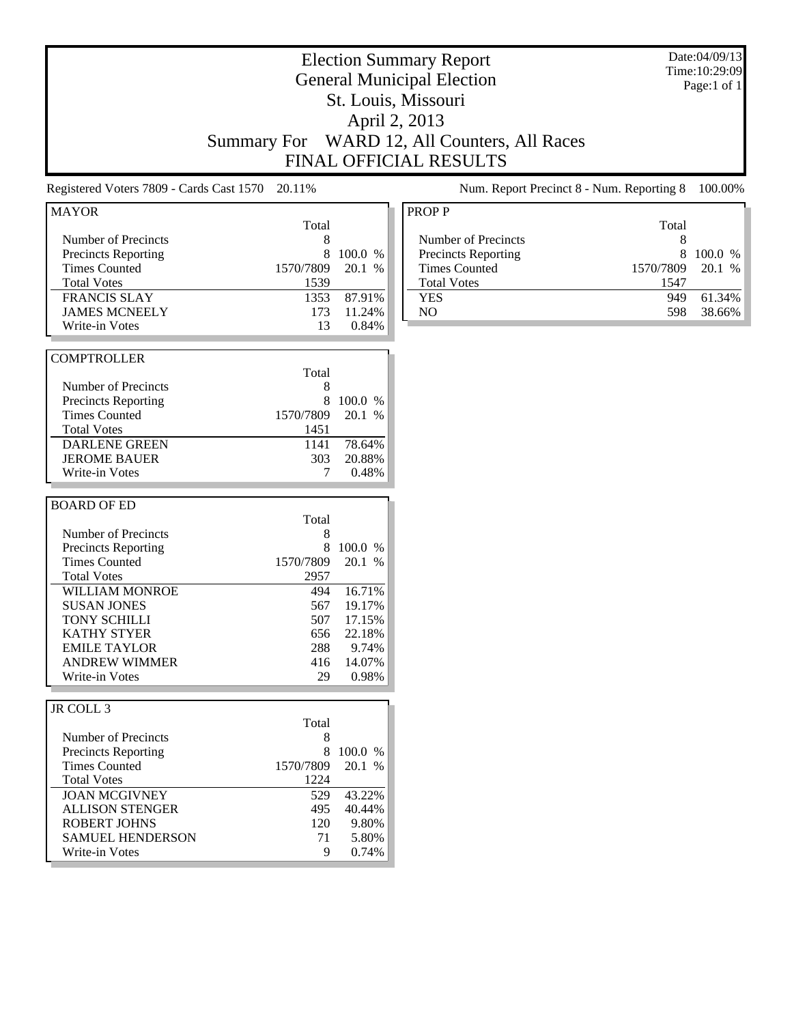|                                                                                                                                                                                                                                                                      | <b>Summary For</b>                                                                   |                                                                                       | <b>Election Summary Report</b><br><b>General Municipal Election</b><br>St. Louis, Missouri<br>April 2, 2013<br>WARD 12, All Counters, All Races<br><b>FINAL OFFICIAL RESULTS</b>               | Date:04/09/13<br>Time: 10:29:09<br>Page:1 of 1 |
|----------------------------------------------------------------------------------------------------------------------------------------------------------------------------------------------------------------------------------------------------------------------|--------------------------------------------------------------------------------------|---------------------------------------------------------------------------------------|------------------------------------------------------------------------------------------------------------------------------------------------------------------------------------------------|------------------------------------------------|
| Registered Voters 7809 - Cards Cast 1570                                                                                                                                                                                                                             | 20.11%                                                                               |                                                                                       | Num. Report Precinct 8 - Num. Reporting 8                                                                                                                                                      | 100.00%                                        |
| <b>MAYOR</b><br>Number of Precincts<br><b>Precincts Reporting</b><br><b>Times Counted</b><br><b>Total Votes</b><br><b>FRANCIS SLAY</b><br><b>JAMES MCNEELY</b><br>Write-in Votes                                                                                     | Total<br>8<br>8<br>1570/7809<br>1539<br>1353<br>173<br>13                            | 100.0 %<br>20.1 %<br>87.91%<br>11.24%<br>0.84%                                        | <b>PROPP</b><br>Total<br>Number of Precincts<br>8<br>8<br>Precincts Reporting<br><b>Times Counted</b><br>1570/7809<br><b>Total Votes</b><br>1547<br>949<br><b>YES</b><br>N <sub>O</sub><br>598 | 100.0 %<br>20.1 %<br>61.34%<br>38.66%          |
| <b>COMPTROLLER</b><br>Number of Precincts<br><b>Precincts Reporting</b><br><b>Times Counted</b><br><b>Total Votes</b><br><b>DARLENE GREEN</b><br><b>JEROME BAUER</b><br>Write-in Votes                                                                               | Total<br>8<br>8<br>1570/7809<br>1451<br>1141<br>303<br>7                             | 100.0 %<br>20.1 %<br>78.64%<br>20.88%<br>0.48%                                        |                                                                                                                                                                                                |                                                |
| <b>BOARD OF ED</b><br>Number of Precincts<br><b>Precincts Reporting</b><br><b>Times Counted</b><br><b>Total Votes</b><br>WILLIAM MONROE<br><b>SUSAN JONES</b><br>TONY SCHILLI<br><b>KATHY STYER</b><br><b>EMILE TAYLOR</b><br><b>ANDREW WIMMER</b><br>Write-in Votes | Total<br>8<br>8<br>1570/7809<br>2957<br>494<br>567<br>507<br>656<br>288<br>416<br>29 | 100.0 %<br>20.1 %<br>16.71%<br>19.17%<br>17.15%<br>22.18%<br>9.74%<br>14.07%<br>0.98% |                                                                                                                                                                                                |                                                |
| JR COLL 3<br>Number of Precincts<br><b>Precincts Reporting</b><br><b>Times Counted</b><br><b>Total Votes</b><br><b>JOAN MCGIVNEY</b><br><b>ALLISON STENGER</b><br><b>ROBERT JOHNS</b><br><b>SAMUEL HENDERSON</b><br>Write-in Votes                                   | Total<br>8<br>8<br>1570/7809<br>1224<br>529<br>495<br>120<br>71<br>9                 | 100.0 %<br>20.1 %<br>43.22%<br>40.44%<br>9.80%<br>5.80%<br>0.74%                      |                                                                                                                                                                                                |                                                |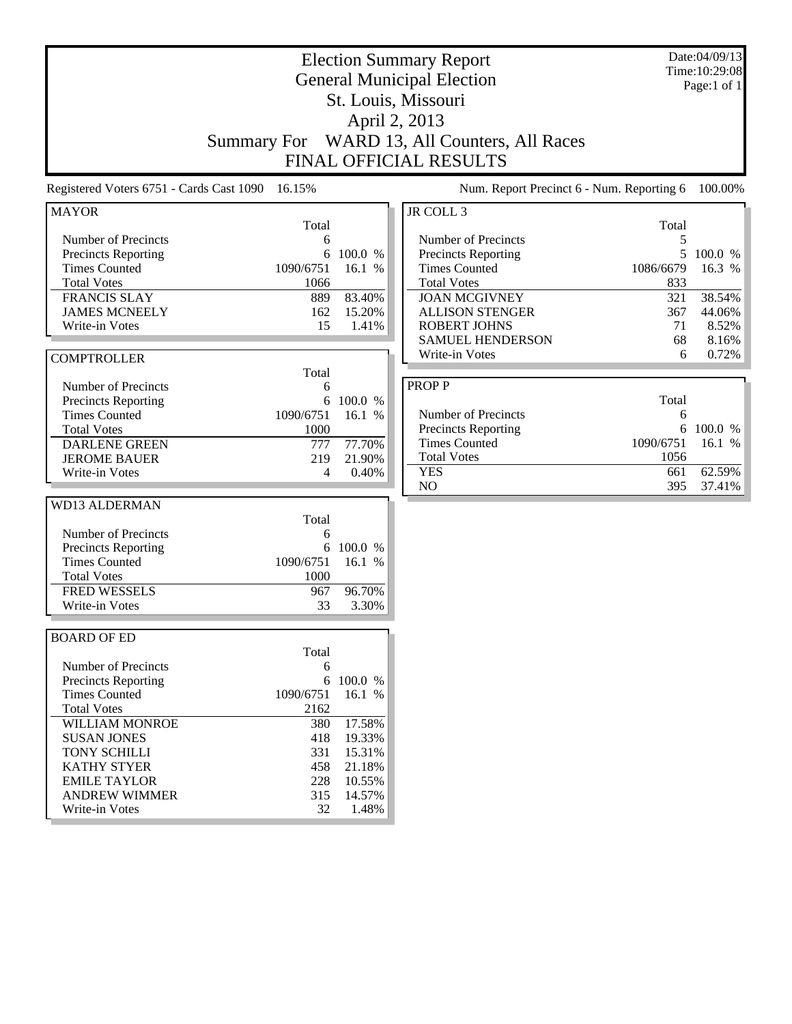| <b>Election Summary Report</b><br><b>General Municipal Election</b>           |            |                  |                                           |            | Date:04/09/13<br>Time: 10:29:08 |
|-------------------------------------------------------------------------------|------------|------------------|-------------------------------------------|------------|---------------------------------|
|                                                                               |            |                  |                                           |            | Page:1 of 1                     |
|                                                                               |            |                  | St. Louis, Missouri                       |            |                                 |
|                                                                               |            |                  |                                           |            |                                 |
|                                                                               |            |                  |                                           |            |                                 |
| Summary For WARD 13, All Counters, All Races<br><b>FINAL OFFICIAL RESULTS</b> |            |                  |                                           |            |                                 |
|                                                                               |            |                  |                                           |            |                                 |
| Registered Voters 6751 - Cards Cast 1090 16.15%                               |            |                  | Num. Report Precinct 6 - Num. Reporting 6 |            | 100.00%                         |
| <b>MAYOR</b>                                                                  |            |                  | JR COLL 3                                 |            |                                 |
| Number of Precincts                                                           | Total<br>6 |                  | Number of Precincts                       | Total<br>5 |                                 |
| <b>Precincts Reporting</b>                                                    | 6          | 100.0 %          | <b>Precincts Reporting</b>                |            | 5 100.0 %                       |
| <b>Times Counted</b>                                                          | 1090/6751  | 16.1 %           | <b>Times Counted</b>                      | 1086/6679  | 16.3 %                          |
| <b>Total Votes</b>                                                            | 1066       |                  | <b>Total Votes</b>                        | 833        |                                 |
| <b>FRANCIS SLAY</b>                                                           | 889        | 83.40%           | <b>JOAN MCGIVNEY</b>                      | 321        | 38.54%                          |
| <b>JAMES MCNEELY</b>                                                          | 162        | 15.20%           | <b>ALLISON STENGER</b>                    | 367        | 44.06%                          |
| Write-in Votes                                                                | 15         | 1.41%            | <b>ROBERT JOHNS</b>                       | 71         | 8.52%                           |
|                                                                               |            |                  | <b>SAMUEL HENDERSON</b>                   | 68         | 8.16%                           |
| <b>COMPTROLLER</b>                                                            |            |                  | Write-in Votes                            | 6          | 0.72%                           |
|                                                                               | Total      |                  |                                           |            |                                 |
| Number of Precincts                                                           | 6          |                  | <b>PROPP</b>                              |            |                                 |
| <b>Precincts Reporting</b>                                                    | 6          | 100.0 %          |                                           | Total      |                                 |
| <b>Times Counted</b>                                                          | 1090/6751  | 16.1 %           | Number of Precincts                       | 6          |                                 |
| <b>Total Votes</b>                                                            | 1000       |                  | Precincts Reporting                       | 6          | 100.0 %                         |
| <b>DARLENE GREEN</b>                                                          | 777        | 77.70%           | <b>Times Counted</b>                      | 1090/6751  | 16.1 %                          |
| <b>JEROME BAUER</b>                                                           | 219        | 21.90%           | <b>Total Votes</b>                        | 1056       |                                 |
| Write-in Votes                                                                | 4          | 0.40%            | <b>YES</b>                                | 661        | 62.59%                          |
|                                                                               |            |                  | N <sub>O</sub>                            | 395        | 37.41%                          |
| <b>WD13 ALDERMAN</b>                                                          |            |                  |                                           |            |                                 |
|                                                                               | Total      |                  |                                           |            |                                 |
| Number of Precincts                                                           | 6<br>6     | 100.0 %          |                                           |            |                                 |
| <b>Precincts Reporting</b><br><b>Times Counted</b>                            | 1090/6751  | 16.1 %           |                                           |            |                                 |
| <b>Total Votes</b>                                                            | 1000       |                  |                                           |            |                                 |
| <b>FRED WESSELS</b>                                                           | 967        | 96.70%           |                                           |            |                                 |
| Write-in Votes                                                                | 33         | 3.30%            |                                           |            |                                 |
|                                                                               |            |                  |                                           |            |                                 |
| <b>BOARD OF ED</b>                                                            |            |                  |                                           |            |                                 |
|                                                                               | Total      |                  |                                           |            |                                 |
| Number of Precincts                                                           | 6          |                  |                                           |            |                                 |
| <b>Precincts Reporting</b>                                                    |            | 6 100.0 %        |                                           |            |                                 |
| <b>Times Counted</b>                                                          | 1090/6751  | 16.1 %           |                                           |            |                                 |
| <b>Total Votes</b>                                                            | 2162       |                  |                                           |            |                                 |
| <b>WILLIAM MONROE</b>                                                         | 380        | 17.58%           |                                           |            |                                 |
| <b>SUSAN JONES</b><br>TONY SCHILLI                                            | 418<br>331 | 19.33%<br>15.31% |                                           |            |                                 |
| <b>KATHY STYER</b>                                                            | 458        | 21.18%           |                                           |            |                                 |
| <b>EMILE TAYLOR</b>                                                           | 228        | 10.55%           |                                           |            |                                 |
| <b>ANDREW WIMMER</b>                                                          | 315        | 14.57%           |                                           |            |                                 |
| Write-in Votes                                                                | 32         | 1.48%            |                                           |            |                                 |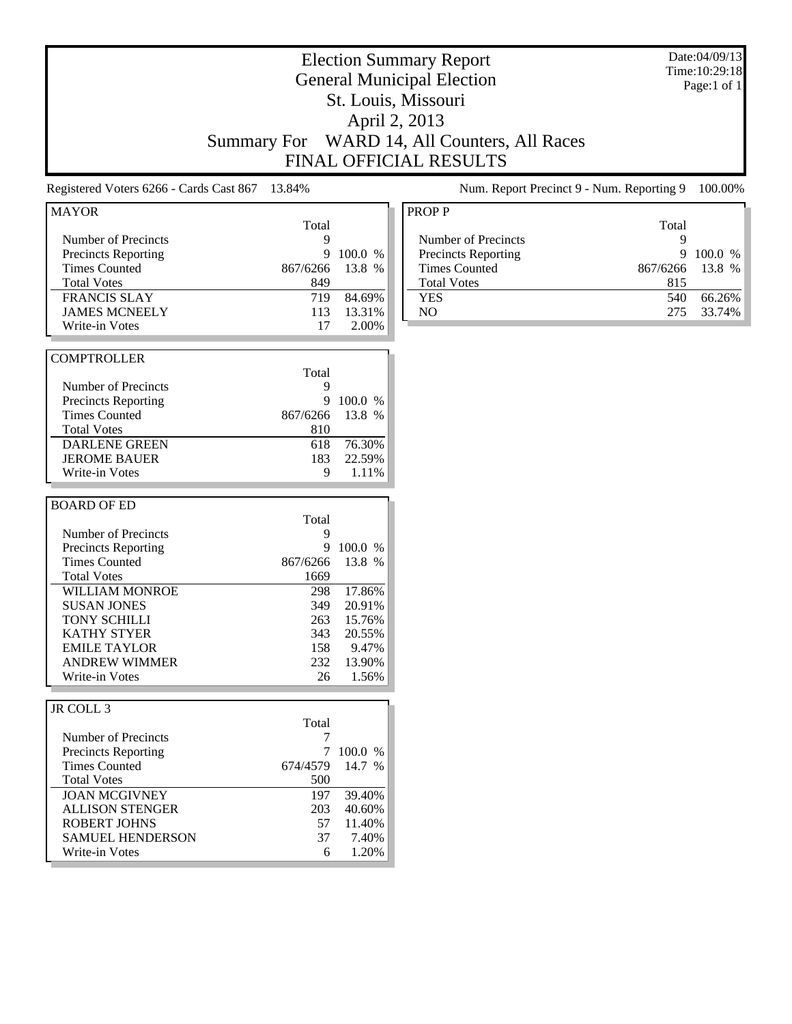|                                                                                                                                                                                                                                                                      | <b>Summary For</b> |                                                                                     | St. Louis, Missouri<br>April 2, 2013                                                  | <b>Election Summary Report</b><br><b>General Municipal Election</b><br>WARD 14, All Counters, All Races<br><b>FINAL OFFICIAL RESULTS</b> |                                           |                                                  | Date:04/09/13<br>Time: 10:29:18<br>Page:1 of 1 |
|----------------------------------------------------------------------------------------------------------------------------------------------------------------------------------------------------------------------------------------------------------------------|--------------------|-------------------------------------------------------------------------------------|---------------------------------------------------------------------------------------|------------------------------------------------------------------------------------------------------------------------------------------|-------------------------------------------|--------------------------------------------------|------------------------------------------------|
| Registered Voters 6266 - Cards Cast 867                                                                                                                                                                                                                              |                    | 13.84%                                                                              |                                                                                       |                                                                                                                                          | Num. Report Precinct 9 - Num. Reporting 9 |                                                  | 100.00%                                        |
| <b>MAYOR</b><br>Number of Precincts<br><b>Precincts Reporting</b><br><b>Times Counted</b><br><b>Total Votes</b><br><b>FRANCIS SLAY</b><br><b>JAMES MCNEELY</b><br>Write-in Votes                                                                                     |                    | Total<br>9<br>9<br>867/6266<br>849<br>719<br>113<br>17                              | 100.0 %<br>13.8 %<br>84.69%<br>13.31%<br>2.00%                                        | <b>PROPP</b><br>Number of Precincts<br>Precincts Reporting<br><b>Times Counted</b><br><b>Total Votes</b><br><b>YES</b><br>N <sub>O</sub> |                                           | Total<br>9<br>9<br>867/6266<br>815<br>540<br>275 | 100.0 %<br>13.8 %<br>66.26%<br>33.74%          |
| <b>COMPTROLLER</b><br>Number of Precincts<br><b>Precincts Reporting</b><br><b>Times Counted</b><br><b>Total Votes</b><br><b>DARLENE GREEN</b><br><b>JEROME BAUER</b><br>Write-in Votes                                                                               |                    | Total<br>9<br>9<br>867/6266<br>810<br>618<br>183<br>9                               | 100.0 %<br>13.8 %<br>76.30%<br>22.59%<br>1.11%                                        |                                                                                                                                          |                                           |                                                  |                                                |
| <b>BOARD OF ED</b><br>Number of Precincts<br><b>Precincts Reporting</b><br><b>Times Counted</b><br><b>Total Votes</b><br>WILLIAM MONROE<br><b>SUSAN JONES</b><br>TONY SCHILLI<br><b>KATHY STYER</b><br><b>EMILE TAYLOR</b><br><b>ANDREW WIMMER</b><br>Write-in Votes |                    | Total<br>9<br>9<br>867/6266<br>1669<br>298<br>349<br>263<br>343<br>158<br>232<br>26 | 100.0 %<br>13.8 %<br>17.86%<br>20.91%<br>15.76%<br>20.55%<br>9.47%<br>13.90%<br>1.56% |                                                                                                                                          |                                           |                                                  |                                                |
| JR COLL 3<br>Number of Precincts<br><b>Precincts Reporting</b><br><b>Times Counted</b><br><b>Total Votes</b><br><b>JOAN MCGIVNEY</b><br><b>ALLISON STENGER</b><br><b>ROBERT JOHNS</b><br><b>SAMUEL HENDERSON</b><br>Write-in Votes                                   |                    | Total<br>7<br>674/4579<br>500<br>197<br>203<br>57<br>37<br>6                        | 7 100.0 %<br>14.7 %<br>39.40%<br>40.60%<br>11.40%<br>7.40%<br>1.20%                   |                                                                                                                                          |                                           |                                                  |                                                |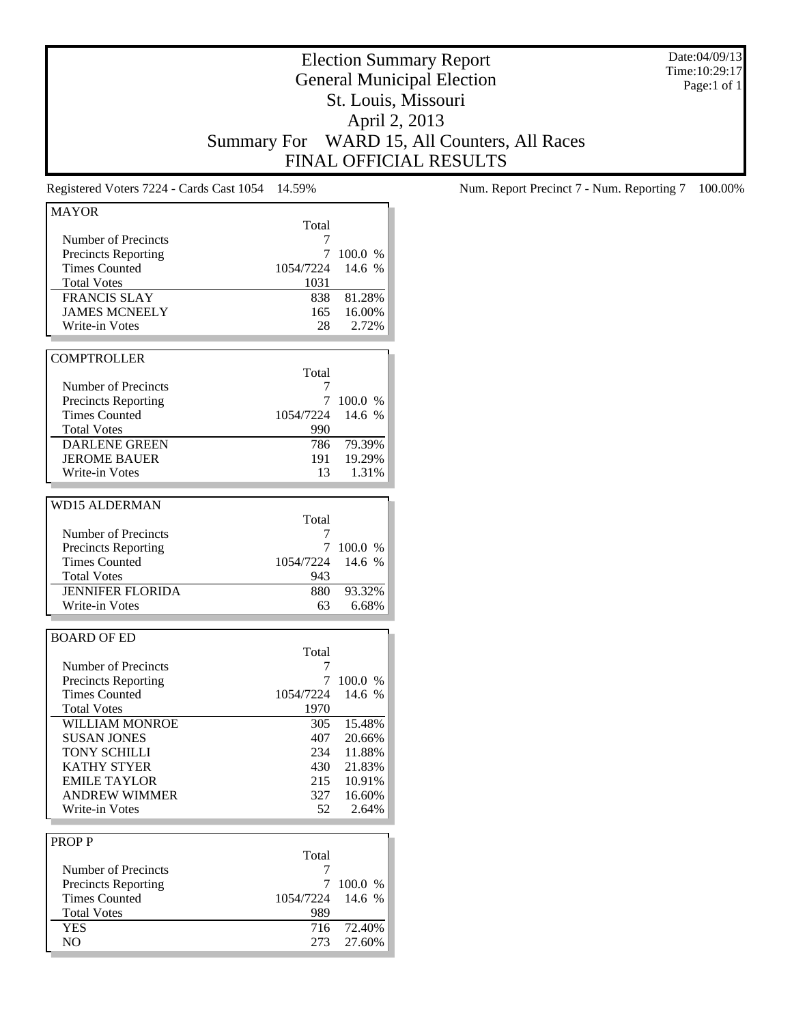Date:04/09/13 Time:10:29:17 Page:1 of 1

## Election Summary Report General Municipal Election St. Louis, Missouri April 2, 2013 Summary For WARD 15, All Counters, All Races FINAL OFFICIAL RESULTS

| <b>MAYOR</b>               |                   |         |
|----------------------------|-------------------|---------|
|                            | Total             |         |
| Number of Precincts        | 7                 |         |
| <b>Precincts Reporting</b> | 7                 | 100.0 % |
| <b>Times Counted</b>       | 1054/7224         | 14.6 %  |
| <b>Total Votes</b>         | 1031              |         |
| <b>FRANCIS SLAY</b>        | 838               | 81.28%  |
| <b>JAMES MCNEELY</b>       | 165               | 16.00%  |
| Write-in Votes             | 28                | 2.72%   |
|                            |                   |         |
| <b>COMPTROLLER</b>         |                   |         |
|                            | Total             |         |
| Number of Precincts        | 7                 |         |
| <b>Precincts Reporting</b> | 7                 | 100.0 % |
| <b>Times Counted</b>       | 1054/7224         | 14.6 %  |
| <b>Total Votes</b>         | 990               |         |
| <b>DARLENE GREEN</b>       | 786               | 79.39%  |
| <b>JEROME BAUER</b>        | 191               | 19.29%  |
| Write-in Votes             | 13                | 1.31%   |
|                            |                   |         |
| <b>WD15 ALDERMAN</b>       |                   |         |
|                            | Total             |         |
| Number of Precincts        | 7                 |         |
| <b>Precincts Reporting</b> | 7                 | 100.0 % |
| <b>Times Counted</b>       | 1054/7224         | 14.6 %  |
| <b>Total Votes</b>         | 943               |         |
| <b>JENNIFER FLORIDA</b>    | 880               | 93.32%  |
| Write-in Votes             | 63                | 6.68%   |
|                            |                   |         |
| <b>BOARD OF ED</b>         |                   |         |
|                            | Total             |         |
| Number of Precincts        | 7                 |         |
| <b>Precincts Reporting</b> | 7                 | 100.0 % |
| <b>Times Counted</b>       |                   | 14.6 %  |
| <b>Total Votes</b>         | 1054/7224<br>1970 |         |
| <b>WILLIAM MONROE</b>      |                   |         |
|                            | 305               | 15.48%  |
| <b>SUSAN JONES</b>         | 407               | 20.66%  |
| <b>TONY SCHILLI</b>        | 234               | 11.88%  |
| <b>KATHY STYER</b>         | 430               | 21.83%  |
| <b>EMILE TAYLOR</b>        | 215               | 10.91%  |
| <b>ANDREW WIMMER</b>       | 327               | 16.60%  |
| Write-in Votes             | 52                | 2.64%   |
|                            |                   |         |
| <b>PROPP</b>               |                   |         |
|                            | Total             |         |
| Number of Precincts        | 7                 |         |
| <b>Precincts Reporting</b> | 7                 | 100.0 % |
| <b>Times Counted</b>       | 1054/7224         | 14.6 %  |
| <b>Total Votes</b>         | 989               |         |
| <b>YES</b>                 | 716               | 72.40%  |
| NO                         | 273               | 27.60%  |
|                            |                   |         |

Registered Voters 7224 - Cards Cast 1054 14.59% Num. Report Precinct 7 - Num. Reporting 7 100.00%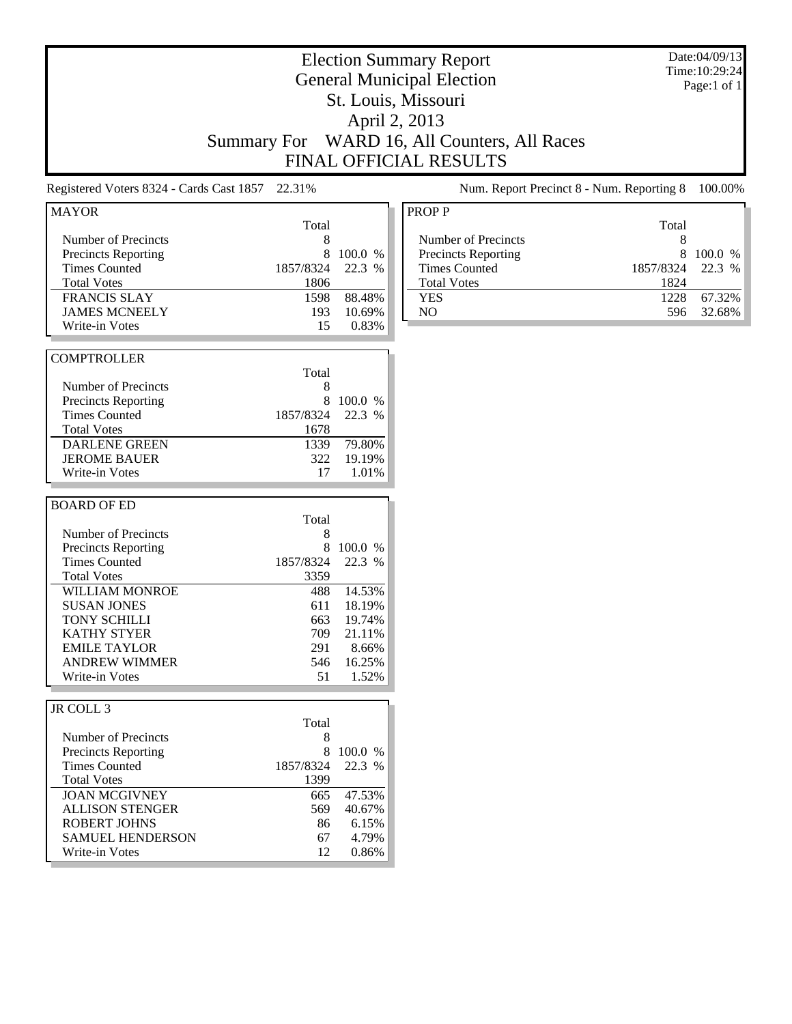|                                                                                                                                                                                                                                                               | <b>Summary For</b>                                                                   |                                                                                       | <b>Election Summary Report</b><br><b>General Municipal Election</b><br>St. Louis, Missouri<br>April 2, 2013<br>WARD 16, All Counters, All Races<br><b>FINAL OFFICIAL RESULTS</b> |                                                     | Date:04/09/13<br>Time: 10:29:24<br>Page:1 of 1 |
|---------------------------------------------------------------------------------------------------------------------------------------------------------------------------------------------------------------------------------------------------------------|--------------------------------------------------------------------------------------|---------------------------------------------------------------------------------------|----------------------------------------------------------------------------------------------------------------------------------------------------------------------------------|-----------------------------------------------------|------------------------------------------------|
| Registered Voters 8324 - Cards Cast 1857                                                                                                                                                                                                                      | 22.31%                                                                               |                                                                                       | Num. Report Precinct 8 - Num. Reporting 8                                                                                                                                        |                                                     | 100.00%                                        |
| <b>MAYOR</b><br>Number of Precincts<br><b>Precincts Reporting</b><br><b>Times Counted</b><br><b>Total Votes</b><br><b>FRANCIS SLAY</b><br><b>JAMES MCNEELY</b><br>Write-in Votes                                                                              | Total<br>8<br>8<br>1857/8324<br>1806<br>1598<br>193<br>15                            | 100.0 %<br>22.3 %<br>88.48%<br>10.69%<br>0.83%                                        | <b>PROPP</b><br>Number of Precincts<br>Precincts Reporting<br><b>Times Counted</b><br><b>Total Votes</b><br><b>YES</b><br>N <sub>O</sub>                                         | Total<br>8<br>8<br>1857/8324<br>1824<br>1228<br>596 | 100.0 %<br>22.3 %<br>67.32%<br>32.68%          |
| <b>COMPTROLLER</b><br>Number of Precincts<br><b>Precincts Reporting</b><br><b>Times Counted</b><br><b>Total Votes</b><br><b>DARLENE GREEN</b><br><b>JEROME BAUER</b><br>Write-in Votes                                                                        | Total<br>8<br>8<br>1857/8324<br>1678<br>1339<br>322<br>17                            | 100.0 %<br>22.3 %<br>79.80%<br>19.19%<br>1.01%                                        |                                                                                                                                                                                  |                                                     |                                                |
| <b>BOARD OF ED</b><br>Number of Precincts<br>Precincts Reporting<br><b>Times Counted</b><br><b>Total Votes</b><br>WILLIAM MONROE<br><b>SUSAN JONES</b><br>TONY SCHILLI<br><b>KATHY STYER</b><br><b>EMILE TAYLOR</b><br><b>ANDREW WIMMER</b><br>Write-in Votes | Total<br>8<br>8<br>1857/8324<br>3359<br>488<br>611<br>663<br>709<br>291<br>546<br>51 | 100.0 %<br>22.3 %<br>14.53%<br>18.19%<br>19.74%<br>21.11%<br>8.66%<br>16.25%<br>1.52% |                                                                                                                                                                                  |                                                     |                                                |
| JR COLL 3<br>Number of Precincts<br><b>Precincts Reporting</b><br><b>Times Counted</b><br><b>Total Votes</b><br><b>JOAN MCGIVNEY</b><br><b>ALLISON STENGER</b><br><b>ROBERT JOHNS</b><br><b>SAMUEL HENDERSON</b><br>Write-in Votes                            | Total<br>8<br>8<br>1857/8324<br>1399<br>665<br>569<br>86<br>67<br>12                 | 100.0 %<br>22.3 %<br>47.53%<br>40.67%<br>6.15%<br>4.79%<br>0.86%                      |                                                                                                                                                                                  |                                                     |                                                |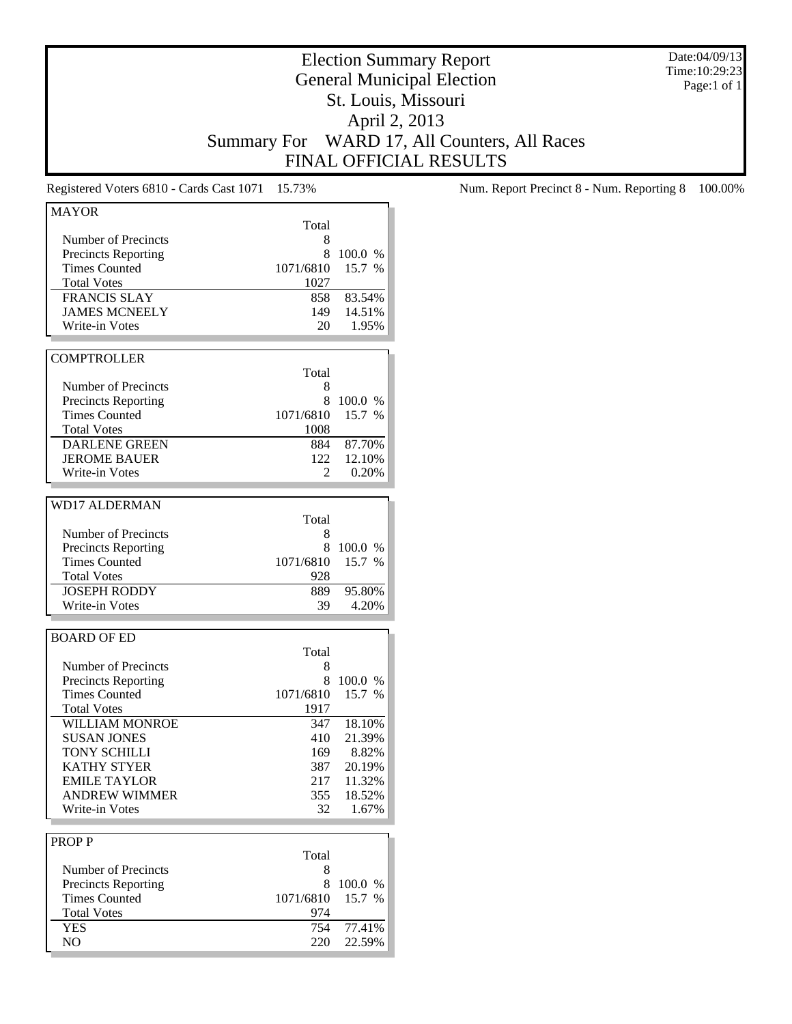Date:04/09/13 Time:10:29:23 Page:1 of 1

## Election Summary Report General Municipal Election St. Louis, Missouri April 2, 2013 Summary For WARD 17, All Counters, All Races FINAL OFFICIAL RESULTS

Registered Voters 6810 - Cards Cast 1071 15.73% Num. Report Precinct 8 - Num. Reporting 8 100.00%

| <b>MAYOR</b>                                      |                 |         |
|---------------------------------------------------|-----------------|---------|
|                                                   | Total           |         |
| Number of Precincts                               | 8               |         |
| <b>Precincts Reporting</b>                        | 8               | 100.0 % |
| <b>Times Counted</b>                              | 1071/6810       | 15.7 %  |
| <b>Total Votes</b>                                | 1027            |         |
| <b>FRANCIS SLAY</b>                               | 858             | 83.54%  |
| <b>JAMES MCNEELY</b>                              | 149             | 14.51%  |
| Write-in Votes                                    | 20              | 1.95%   |
|                                                   |                 |         |
| <b>COMPTROLLER</b>                                |                 |         |
|                                                   | Total           |         |
| Number of Precincts                               | 8               |         |
|                                                   |                 |         |
| <b>Precincts Reporting</b>                        | 8               | 100.0 % |
| <b>Times Counted</b>                              | 1071/6810       | 15.7 %  |
| <b>Total Votes</b>                                | 1008            |         |
| <b>DARLENE GREEN</b>                              | 884             | 87.70%  |
| <b>JEROME BAUER</b>                               | 122             | 12.10%  |
| Write-in Votes                                    | 2               | 0.20%   |
|                                                   |                 |         |
| <b>WD17 ALDERMAN</b>                              |                 |         |
|                                                   | Total           |         |
|                                                   | 8               |         |
| Number of Precincts                               |                 |         |
| <b>Precincts Reporting</b>                        | 8               | 100.0 % |
| <b>Times Counted</b>                              | 1071/6810       | 15.7 %  |
| <b>Total Votes</b>                                | 928             |         |
| <b>JOSEPH RODDY</b>                               | 889             | 95.80%  |
| Write-in Votes                                    | 39              | 4.20%   |
|                                                   |                 |         |
| <b>BOARD OF ED</b>                                |                 |         |
|                                                   | Total           |         |
| Number of Precincts                               | 8               |         |
| <b>Precincts Reporting</b>                        | 8               | 100.0 % |
| <b>Times Counted</b>                              | 1071/6810       | 15.7 %  |
|                                                   |                 |         |
| <b>Total Votes</b>                                | 1917            |         |
| <b>WILLIAM MONROE</b>                             | 347             | 18.10%  |
| <b>SUSAN JONES</b>                                | 410             | 21.39%  |
| TONY SCHILLI                                      | 169             | 8.82%   |
| <b>KATHY STYER</b>                                | 387             | 20.19%  |
| <b>EMILE TAYLOR</b>                               | 217             | 11.32%  |
| <b>ANDREW WIMMER</b>                              | 355             | 18.52%  |
| Write-in Votes                                    | 32              | 1.67%   |
|                                                   |                 |         |
| <b>PROPP</b>                                      |                 |         |
|                                                   |                 |         |
|                                                   |                 |         |
|                                                   |                 |         |
|                                                   |                 |         |
| <b>Times Counted</b>                              | 1071/6810       | 15.7 %  |
| <b>Total Votes</b>                                | 974             |         |
|                                                   |                 |         |
| <b>YES</b>                                        | 754             | 77.41%  |
| Number of Precincts<br><b>Precincts Reporting</b> | Total<br>8<br>8 | 100.0 % |
|                                                   |                 |         |
|                                                   |                 |         |
|                                                   |                 |         |
|                                                   |                 |         |
| NO                                                | 220             | 22.59%  |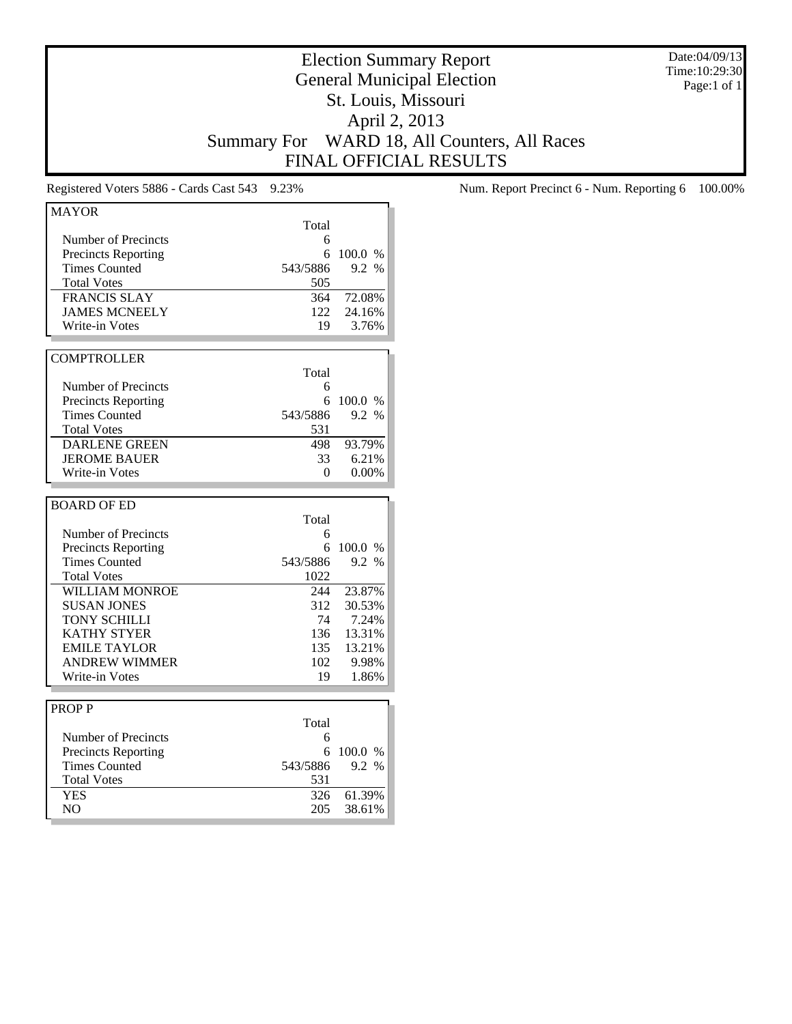Date:04/09/13 Time:10:29:30 Page:1 of 1

# Election Summary Report General Municipal Election St. Louis, Missouri April 2, 2013 Summary For WARD 18, All Counters, All Races FINAL OFFICIAL RESULTS

| <b>MAYOR</b>               |          |         |
|----------------------------|----------|---------|
|                            | Total    |         |
| Number of Precincts        | 6        |         |
| <b>Precincts Reporting</b> | 6        | 100.0 % |
| <b>Times Counted</b>       | 543/5886 | 9.2 %   |
| <b>Total Votes</b>         | 505      |         |
| <b>FRANCIS SLAY</b>        | 364      | 72.08%  |
| <b>JAMES MCNEELY</b>       | 122      | 24.16%  |
| Write-in Votes             | 19       | 3.76%   |
|                            |          |         |
| <b>COMPTROLLER</b>         |          |         |
|                            | Total    |         |
| Number of Precincts        | 6        |         |
| <b>Precincts Reporting</b> | 6        | 100.0 % |
| <b>Times Counted</b>       | 543/5886 | 9.2 %   |
| <b>Total Votes</b>         |          |         |
|                            | 531      |         |
| <b>DARLENE GREEN</b>       | 498      | 93.79%  |
| <b>JEROME BAUER</b>        | 33       | 6.21%   |
| <b>Write-in Votes</b>      | 0        | 0.00%   |
|                            |          |         |
|                            |          |         |
| <b>BOARD OF ED</b>         |          |         |
|                            | Total    |         |
| Number of Precincts        | 6        |         |
| <b>Precincts Reporting</b> | 6        | 100.0 % |
| <b>Times Counted</b>       | 543/5886 | 9.2 %   |
| <b>Total Votes</b>         | 1022     |         |
| WILLIAM MONROE             | 244      | 23.87%  |
| <b>SUSAN JONES</b>         | 312      | 30.53%  |
| <b>TONY SCHILLI</b>        | 74       | 7.24%   |
| <b>KATHY STYER</b>         | 136      | 13.31%  |
| <b>EMILE TAYLOR</b>        | 135      | 13.21%  |
| <b>ANDREW WIMMER</b>       | 102      | 9.98%   |
| Write-in Votes             | 19       | 1.86%   |
|                            |          |         |
| <b>PROPP</b>               |          |         |
|                            | Total    |         |
| <b>Number of Precincts</b> | 6        |         |
| <b>Precincts Reporting</b> | 6        | 100.0 % |
| <b>Times Counted</b>       | 543/5886 | 9.2 %   |
| <b>Total Votes</b>         | 531      |         |
| <b>YES</b>                 | 326      | 61.39%  |

Registered Voters 5886 - Cards Cast 543 9.23% Num. Report Precinct 6 - Num. Reporting 6 100.00%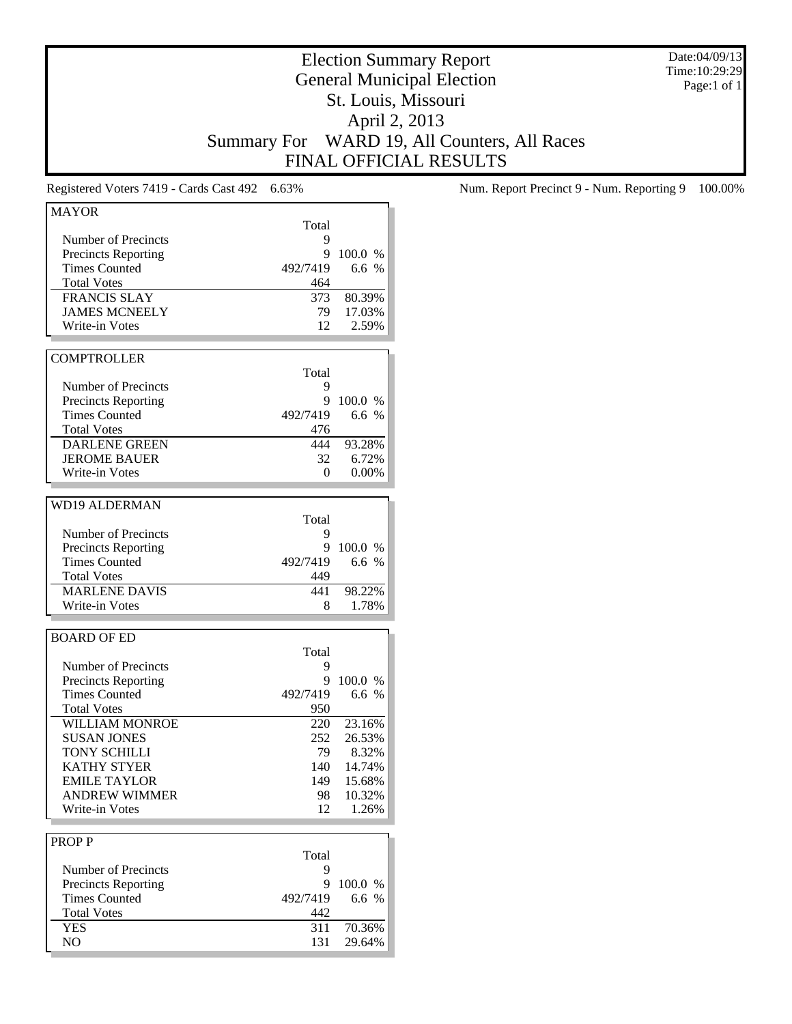Date:04/09/13 Time:10:29:29 Page:1 of 1

# Election Summary Report General Municipal Election St. Louis, Missouri April 2, 2013 Summary For WARD 19, All Counters, All Races FINAL OFFICIAL RESULTS

| <b>MAYOR</b>               |          |            |
|----------------------------|----------|------------|
|                            | Total    |            |
| Number of Precincts        | 9        |            |
| <b>Precincts Reporting</b> | 9        | 100.0 %    |
| <b>Times Counted</b>       | 492/7419 | 6.6 %      |
| <b>Total Votes</b>         | 464      |            |
| <b>FRANCIS SLAY</b>        | 373      | 80.39%     |
| <b>JAMES MCNEELY</b>       | 79 -     | 17.03%     |
| Write-in Votes             | 12       | 2.59%      |
|                            |          |            |
| <b>COMPTROLLER</b>         |          |            |
|                            | Total    |            |
| Number of Precincts        | 9        |            |
| <b>Precincts Reporting</b> | 9        | 100.0 %    |
| <b>Times Counted</b>       | 492/7419 | 6.6 %      |
| <b>Total Votes</b>         | 476      |            |
| <b>DARLENE GREEN</b>       | 444      | 93.28%     |
| <b>JEROME BAUER</b>        | 32       | 6.72%      |
| Write-in Votes             | 0        | 0.00%      |
|                            |          |            |
| <b>WD19 ALDERMAN</b>       |          |            |
|                            | Total    |            |
|                            |          |            |
| Number of Precincts        | 9        |            |
| <b>Precincts Reporting</b> | 9        | 100.0 %    |
| <b>Times Counted</b>       | 492/7419 | 6.6 $%$    |
| <b>Total Votes</b>         | 449      |            |
| <b>MARLENE DAVIS</b>       | 441      | 98.22%     |
| Write-in Votes             | 8        | 1.78%      |
|                            |          |            |
| <b>BOARD OF ED</b>         |          |            |
|                            | Total    |            |
| Number of Precincts        | 9        |            |
| <b>Precincts Reporting</b> | 9        | 100.0 %    |
| <b>Times Counted</b>       | 492/7419 | 6.6 %      |
| <b>Total Votes</b>         | 950      |            |
| <b>WILLIAM MONROE</b>      | 220      | 23.16%     |
| <b>SUSAN JONES</b>         | 252      | 26.53%     |
| TONY SCHILLI               | 79       | 8.32%      |
| <b>KATHY STYER</b>         | 140      | 14.74%     |
| <b>EMILE TAYLOR</b>        |          | 149 15.68% |
| <b>ANDREW WIMMER</b>       |          | 10.32%     |
|                            | 98<br>12 |            |
| Write-in Votes             |          | 1.26%      |
|                            |          |            |
| <b>PROPP</b>               |          |            |
|                            | Total    |            |
| Number of Precincts        | 9        |            |
| <b>Precincts Reporting</b> | 9        | 100.0 %    |
| <b>Times Counted</b>       | 492/7419 | 6.6 %      |
| <b>Total Votes</b>         | 442      |            |
| <b>YES</b>                 | 311      | 70.36%     |
| NO                         | 131      | 29.64%     |
|                            |          |            |

Registered Voters 7419 - Cards Cast 492 6.63% Num. Report Precinct 9 - Num. Reporting 9 100.00%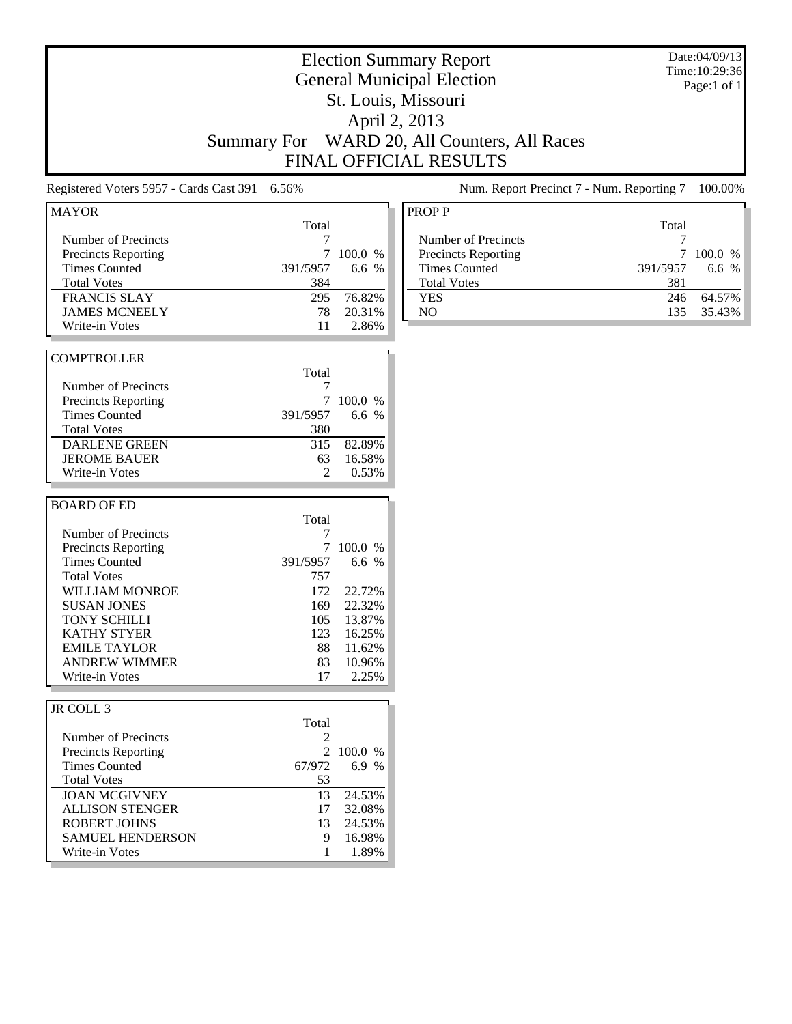# Election Summary Report General Municipal Election St. Louis, Missouri April 2, 2013 Summary For WARD 20, All Counters, All Races FINAL OFFICIAL RESULTS

Registered Voters 5957 - Cards Cast 391 6.56% Num. Report Precinct 7 - Num. Reporting 7 100.00%

| <b>MAYOR</b>               |                |         |
|----------------------------|----------------|---------|
|                            | Total          |         |
| Number of Precincts        | 7              |         |
| <b>Precincts Reporting</b> | 7              | 100.0%  |
| <b>Times Counted</b>       | 391/5957       | 6.6 $%$ |
| <b>Total Votes</b>         | 384            |         |
| <b>FRANCIS SLAY</b>        | 295            | 76.82%  |
| <b>JAMES MCNEELY</b>       | 78             | 20.31%  |
| Write-in Votes             | 11             | 2.86%   |
|                            |                |         |
| <b>COMPTROLLER</b>         |                |         |
|                            | Total          |         |
| Number of Precincts        | 7              |         |
| <b>Precincts Reporting</b> | 7              | 100.0 % |
| <b>Times Counted</b>       | 391/5957       | 6.6 $%$ |
| <b>Total Votes</b>         | 380            |         |
| <b>DARLENE GREEN</b>       | 315            | 82.89%  |
| <b>JEROME BAUER</b>        | 63             | 16.58%  |
|                            |                |         |
|                            |                |         |
| Write-in Votes             | $\mathfrak{D}$ | 0.53%   |
|                            |                |         |
| <b>BOARD OF ED</b>         |                |         |
|                            | Total          |         |
| Number of Precincts        | 7              |         |
| <b>Precincts Reporting</b> | 7              | 100.0%  |
| <b>Times Counted</b>       | 391/5957       | 6.6 $%$ |
| <b>Total Votes</b>         | 757            |         |
| <b>WILLIAM MONROE</b>      | 172            | 22.72%  |
| <b>SUSAN JONES</b>         | 169            | 22.32%  |
| <b>TONY SCHILLI</b>        | 105            | 13.87%  |
| <b>KATHY STYER</b>         | 123            | 16.25%  |
| <b>EMILE TAYLOR</b>        | 88             | 11.62%  |
| <b>ANDREW WIMMER</b>       | 83             | 10.96%  |
| Write-in Votes             | 17             | 2.25%   |
|                            |                |         |
| JR COLL 3                  |                |         |

|                            | Total  |           |
|----------------------------|--------|-----------|
| Number of Precincts        | 2      |           |
| <b>Precincts Reporting</b> |        | 2 100.0 % |
| <b>Times Counted</b>       | 67/972 | 6.9 %     |
| <b>Total Votes</b>         | 53     |           |
| <b>JOAN MCGIVNEY</b>       | 13     | 24.53%    |
| <b>ALLISON STENGER</b>     | 17     | 32.08%    |
| ROBERT JOHNS               | 13     | 24.53%    |
| <b>SAMUEL HENDERSON</b>    | 9      | 16.98%    |
| Write-in Votes             |        | 1.89%     |
|                            |        |           |

| <b>PROPP</b>               |          |            |
|----------------------------|----------|------------|
|                            | Total    |            |
| Number of Precincts        |          |            |
| <b>Precincts Reporting</b> |          | $100.0\%$  |
| <b>Times Counted</b>       | 391/5957 | 6.6 $%$    |
| <b>Total Votes</b>         | 381      |            |
| <b>YES</b>                 | 246      | 64.57%     |
| NΟ                         |          | 135 35.43% |

Date:04/09/13 Time:10:29:36 Page:1 of 1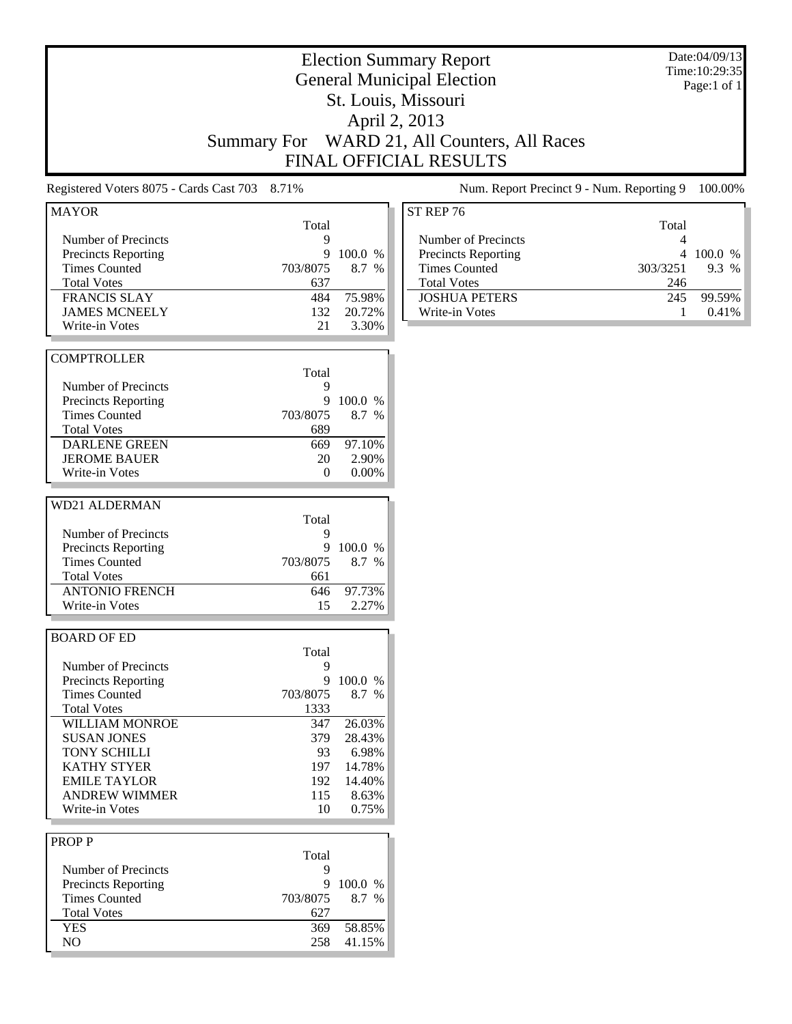|                                               |                    |                  | <b>Election Summary Report</b><br><b>General Municipal Election</b> | Date:04/09/13<br>Time: 10:29:35 |
|-----------------------------------------------|--------------------|------------------|---------------------------------------------------------------------|---------------------------------|
|                                               |                    |                  | St. Louis, Missouri                                                 | Page:1 of 1                     |
|                                               |                    |                  |                                                                     |                                 |
|                                               |                    |                  | April 2, 2013                                                       |                                 |
|                                               | <b>Summary For</b> |                  | WARD 21, All Counters, All Races                                    |                                 |
|                                               |                    |                  | <b>FINAL OFFICIAL RESULTS</b>                                       |                                 |
| Registered Voters 8075 - Cards Cast 703 8.71% |                    |                  | Num. Report Precinct 9 - Num. Reporting 9                           | 100.00%                         |
| <b>MAYOR</b>                                  |                    |                  | ST REP 76                                                           |                                 |
| Number of Precincts                           | Total<br>9         |                  | Total<br>Number of Precincts<br>4                                   |                                 |
| <b>Precincts Reporting</b>                    | 9                  | 100.0 %          | Precincts Reporting                                                 | 4 100.0 %                       |
| <b>Times Counted</b>                          | 703/8075           | 8.7 %            | <b>Times Counted</b><br>303/3251                                    | 9.3 %                           |
| <b>Total Votes</b>                            | 637                |                  | <b>Total Votes</b><br>246                                           |                                 |
| <b>FRANCIS SLAY</b>                           | 484                | 75.98%           | <b>JOSHUA PETERS</b><br>245                                         | 99.59%                          |
| <b>JAMES MCNEELY</b>                          | 132                | 20.72%           | Write-in Votes<br>1                                                 | 0.41%                           |
| Write-in Votes                                | 21                 | 3.30%            |                                                                     |                                 |
| <b>COMPTROLLER</b>                            |                    |                  |                                                                     |                                 |
|                                               | Total              |                  |                                                                     |                                 |
| Number of Precincts                           | 9                  |                  |                                                                     |                                 |
| <b>Precincts Reporting</b>                    | 9                  | 100.0 %          |                                                                     |                                 |
| <b>Times Counted</b>                          | 703/8075           | 8.7 %            |                                                                     |                                 |
| <b>Total Votes</b>                            | 689                |                  |                                                                     |                                 |
| <b>DARLENE GREEN</b>                          | 669                | 97.10%           |                                                                     |                                 |
| <b>JEROME BAUER</b>                           | 20                 | 2.90%            |                                                                     |                                 |
| Write-in Votes                                | 0                  | 0.00%            |                                                                     |                                 |
| <b>WD21 ALDERMAN</b>                          |                    |                  |                                                                     |                                 |
|                                               | Total              |                  |                                                                     |                                 |
| Number of Precincts                           | 9                  |                  |                                                                     |                                 |
| <b>Precincts Reporting</b>                    | 9                  | 100.0 %          |                                                                     |                                 |
| <b>Times Counted</b>                          | 703/8075           | 8.7 %            |                                                                     |                                 |
| <b>Total Votes</b>                            | 661                |                  |                                                                     |                                 |
| <b>ANTONIO FRENCH</b>                         | 646                | 97.73%           |                                                                     |                                 |
| Write-in Votes                                | 15                 | 2.27%            |                                                                     |                                 |
|                                               |                    |                  |                                                                     |                                 |
| <b>BOARD OF ED</b>                            |                    |                  |                                                                     |                                 |
|                                               | Total              |                  |                                                                     |                                 |
| Number of Precincts                           | 9                  |                  |                                                                     |                                 |
| <b>Precincts Reporting</b>                    |                    | 9 100.0 %        |                                                                     |                                 |
| <b>Times Counted</b>                          | 703/8075           | 8.7 %            |                                                                     |                                 |
| <b>Total Votes</b><br><b>WILLIAM MONROE</b>   | 1333               | 26.03%           |                                                                     |                                 |
| <b>SUSAN JONES</b>                            | 347<br>379         | 28.43%           |                                                                     |                                 |
|                                               |                    |                  |                                                                     |                                 |
| TONY SCHILLI                                  | 93                 | 6.98%            |                                                                     |                                 |
| <b>KATHY STYER</b><br><b>EMILE TAYLOR</b>     | 197<br>192         | 14.78%<br>14.40% |                                                                     |                                 |
| <b>ANDREW WIMMER</b>                          | 115                |                  |                                                                     |                                 |
| Write-in Votes                                | 10                 | 8.63%<br>0.75%   |                                                                     |                                 |
|                                               |                    |                  |                                                                     |                                 |
| <b>PROPP</b>                                  |                    |                  |                                                                     |                                 |
|                                               | Total              |                  |                                                                     |                                 |
| Number of Precincts                           | 9                  |                  |                                                                     |                                 |
| <b>Precincts Reporting</b>                    | 9                  | 100.0 %          |                                                                     |                                 |
| <b>Times Counted</b>                          | 703/8075           | 8.7 %            |                                                                     |                                 |
| <b>Total Votes</b>                            | 627                |                  |                                                                     |                                 |
| <b>YES</b>                                    | 369                | 58.85%           |                                                                     |                                 |
| NO                                            | 258                | 41.15%           |                                                                     |                                 |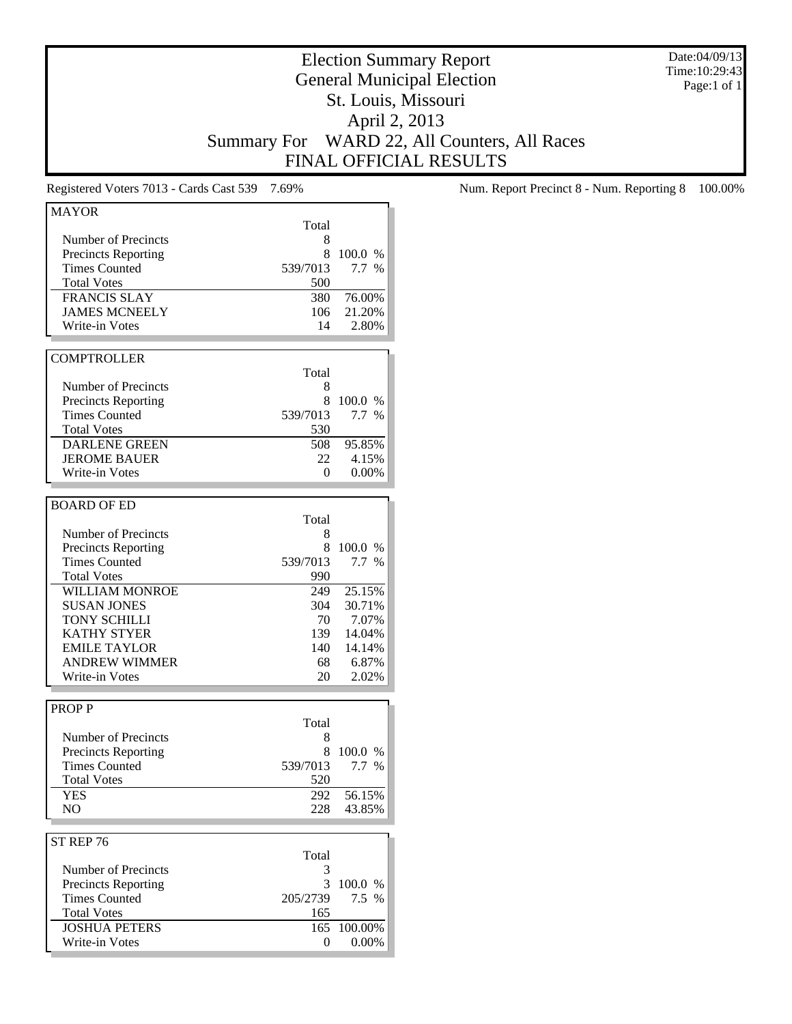Date:04/09/13 Time:10:29:43 Page:1 of 1

# Election Summary Report General Municipal Election St. Louis, Missouri April 2, 2013 Summary For WARD 22, All Counters, All Races FINAL OFFICIAL RESULTS

Registered Voters 7013 - Cards Cast 539 7.69% Num. Report Precinct 8 - Num. Reporting 8 100.00%

| <b>MAYOR</b>                           |          |                  |
|----------------------------------------|----------|------------------|
|                                        | Total    |                  |
| Number of Precincts                    | 8        |                  |
| <b>Precincts Reporting</b>             | 8        | 100.0 %          |
| <b>Times Counted</b>                   | 539/7013 | 7.7%             |
| <b>Total Votes</b>                     | 500      |                  |
| <b>FRANCIS SLAY</b>                    | 380      | 76.00%           |
| <b>JAMES MCNEELY</b>                   | 106      | 21.20%           |
| Write-in Votes                         | 14       | 2.80%            |
|                                        |          |                  |
| <b>COMPTROLLER</b>                     |          |                  |
|                                        | Total    |                  |
| Number of Precincts                    | 8        |                  |
|                                        | 8        | 100.0 %          |
| <b>Precincts Reporting</b>             |          |                  |
| <b>Times Counted</b>                   | 539/7013 | 7.7 %            |
| <b>Total Votes</b>                     | 530      |                  |
| <b>DARLENE GREEN</b>                   | 508      | 95.85%           |
| <b>JEROME BAUER</b>                    | 22       | 4.15%            |
| Write-in Votes                         | 0        | 0.00%            |
|                                        |          |                  |
| <b>BOARD OF ED</b>                     |          |                  |
|                                        | Total    |                  |
| <b>Number of Precincts</b>             | 8        |                  |
| <b>Precincts Reporting</b>             | 8        | 100.0 %          |
| <b>Times Counted</b>                   | 539/7013 | 7.7%             |
| <b>Total Votes</b>                     | 990      |                  |
| <b>WILLIAM MONROE</b>                  | 249      | 25.15%           |
| <b>SUSAN JONES</b>                     | 304      | 30.71%           |
| <b>TONY SCHILLI</b>                    | 70       | 7.07%            |
| <b>KATHY STYER</b>                     | 139      | 14.04%           |
| <b>EMILE TAYLOR</b>                    | 140      | 14.14%           |
| <b>ANDREW WIMMER</b>                   | 68       | 6.87%            |
| Write-in Votes                         | 20       | 2.02%            |
|                                        |          |                  |
| <b>PROPP</b>                           |          |                  |
|                                        | Total    |                  |
| Number of Precincts                    | 8        |                  |
| <b>Precincts Reporting</b>             | 8        | 100.0 %          |
|                                        |          |                  |
|                                        |          | 7.7 %            |
| <b>Times Counted</b>                   | 539/7013 |                  |
| <b>Total Votes</b>                     | 520      |                  |
| YES                                    | 292      | 56.15%           |
| N <sub>O</sub>                         | 228      | 43.85%           |
|                                        |          |                  |
| ST REP 76                              |          |                  |
|                                        | Total    |                  |
| Number of Precincts                    | 3        |                  |
| <b>Precincts Reporting</b>             | 3        | 100.0 %          |
| <b>Times Counted</b>                   | 205/2739 | 7.5 %            |
| <b>Total Votes</b>                     | 165      |                  |
| <b>JOSHUA PETERS</b><br>Write-in Votes | 165<br>0 | 100.00%<br>0.00% |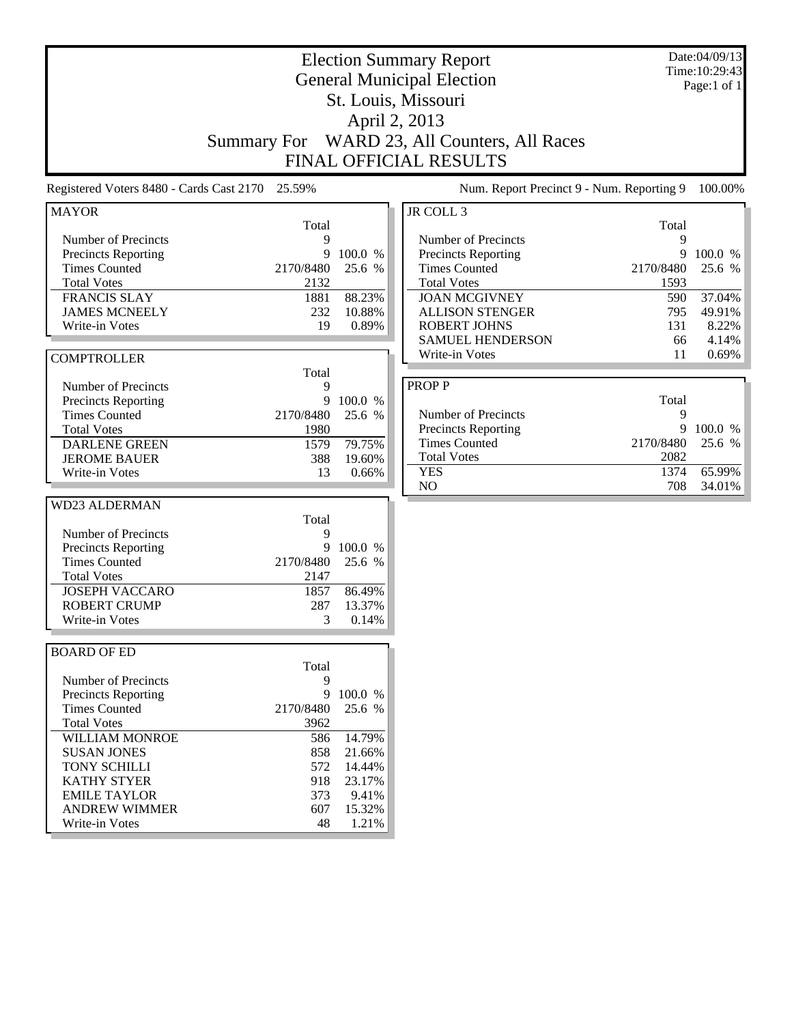|                                                                                                                                                                                                                    | <b>Election Summary Report</b><br><b>General Municipal Election</b><br>St. Louis, Missouri<br>April 2, 2013<br>WARD 23, All Counters, All Races |                                                                             |                                                                                       | Date:04/09/13<br>Time: 10:29:43<br>Page:1 of 1                                                                                             |                                                    |                                       |
|--------------------------------------------------------------------------------------------------------------------------------------------------------------------------------------------------------------------|-------------------------------------------------------------------------------------------------------------------------------------------------|-----------------------------------------------------------------------------|---------------------------------------------------------------------------------------|--------------------------------------------------------------------------------------------------------------------------------------------|----------------------------------------------------|---------------------------------------|
|                                                                                                                                                                                                                    |                                                                                                                                                 | <b>Summary For</b>                                                          |                                                                                       | <b>FINAL OFFICIAL RESULTS</b>                                                                                                              |                                                    |                                       |
|                                                                                                                                                                                                                    |                                                                                                                                                 | Registered Voters 8480 - Cards Cast 2170 25.59%                             |                                                                                       | Num. Report Precinct 9 - Num. Reporting 9                                                                                                  |                                                    | 100.00%                               |
| <b>MAYOR</b>                                                                                                                                                                                                       |                                                                                                                                                 |                                                                             |                                                                                       | JR COLL 3                                                                                                                                  |                                                    |                                       |
| Number of Precincts<br><b>Precincts Reporting</b><br><b>Times Counted</b><br><b>Total Votes</b><br><b>FRANCIS SLAY</b><br><b>JAMES MCNEELY</b>                                                                     |                                                                                                                                                 | Total<br>9<br>9<br>2170/8480<br>2132<br>1881<br>232                         | 100.0 %<br>25.6 %<br>88.23%<br>10.88%                                                 | Number of Precincts<br>Precincts Reporting<br><b>Times Counted</b><br><b>Total Votes</b><br><b>JOAN MCGIVNEY</b><br><b>ALLISON STENGER</b> | Total<br>9<br>9<br>2170/8480<br>1593<br>590<br>795 | 100.0 %<br>25.6 %<br>37.04%<br>49.91% |
| Write-in Votes                                                                                                                                                                                                     |                                                                                                                                                 | 19                                                                          | 0.89%                                                                                 | <b>ROBERT JOHNS</b><br><b>SAMUEL HENDERSON</b>                                                                                             | 131<br>66                                          | 8.22%<br>4.14%                        |
| <b>COMPTROLLER</b>                                                                                                                                                                                                 |                                                                                                                                                 | Total                                                                       |                                                                                       | Write-in Votes                                                                                                                             | 11                                                 | 0.69%                                 |
| Number of Precincts<br><b>Precincts Reporting</b><br><b>Times Counted</b><br><b>Total Votes</b><br><b>DARLENE GREEN</b><br><b>JEROME BAUER</b><br>Write-in Votes                                                   |                                                                                                                                                 | 9<br>9<br>2170/8480<br>1980<br>1579<br>388<br>13                            | 100.0 %<br>25.6 %<br>79.75%<br>19.60%<br>0.66%                                        | <b>PROPP</b><br>Number of Precincts<br>Precincts Reporting<br><b>Times Counted</b><br><b>Total Votes</b><br><b>YES</b>                     | Total<br>9<br>9<br>2170/8480<br>2082<br>1374       | 100.0 %<br>25.6 %<br>65.99%           |
| <b>WD23 ALDERMAN</b>                                                                                                                                                                                               |                                                                                                                                                 |                                                                             |                                                                                       | N <sub>O</sub>                                                                                                                             | 708                                                | 34.01%                                |
| Number of Precincts<br><b>Precincts Reporting</b><br><b>Times Counted</b><br><b>Total Votes</b><br><b>JOSEPH VACCARO</b><br><b>ROBERT CRUMP</b><br>Write-in Votes                                                  |                                                                                                                                                 | Total<br>9<br>9<br>2170/8480<br>2147<br>1857<br>287<br>3                    | 100.0 %<br>25.6 %<br>86.49%<br>13.37%<br>0.14%                                        |                                                                                                                                            |                                                    |                                       |
| <b>BOARD OF ED</b>                                                                                                                                                                                                 |                                                                                                                                                 | Total                                                                       |                                                                                       |                                                                                                                                            |                                                    |                                       |
| <b>Number of Precincts</b><br><b>Precincts Reporting</b><br><b>Times Counted</b><br><b>Total Votes</b><br><b>SUSAN JONES</b><br><b>TONY SCHILLI</b><br><b>KATHY STYER</b><br><b>EMILE TAYLOR</b><br>Write-in Votes | <b>WILLIAM MONROE</b><br><b>ANDREW WIMMER</b>                                                                                                   | 9<br>9<br>2170/8480<br>3962<br>586<br>858<br>572<br>918<br>373<br>607<br>48 | 100.0 %<br>25.6 %<br>14.79%<br>21.66%<br>14.44%<br>23.17%<br>9.41%<br>15.32%<br>1.21% |                                                                                                                                            |                                                    |                                       |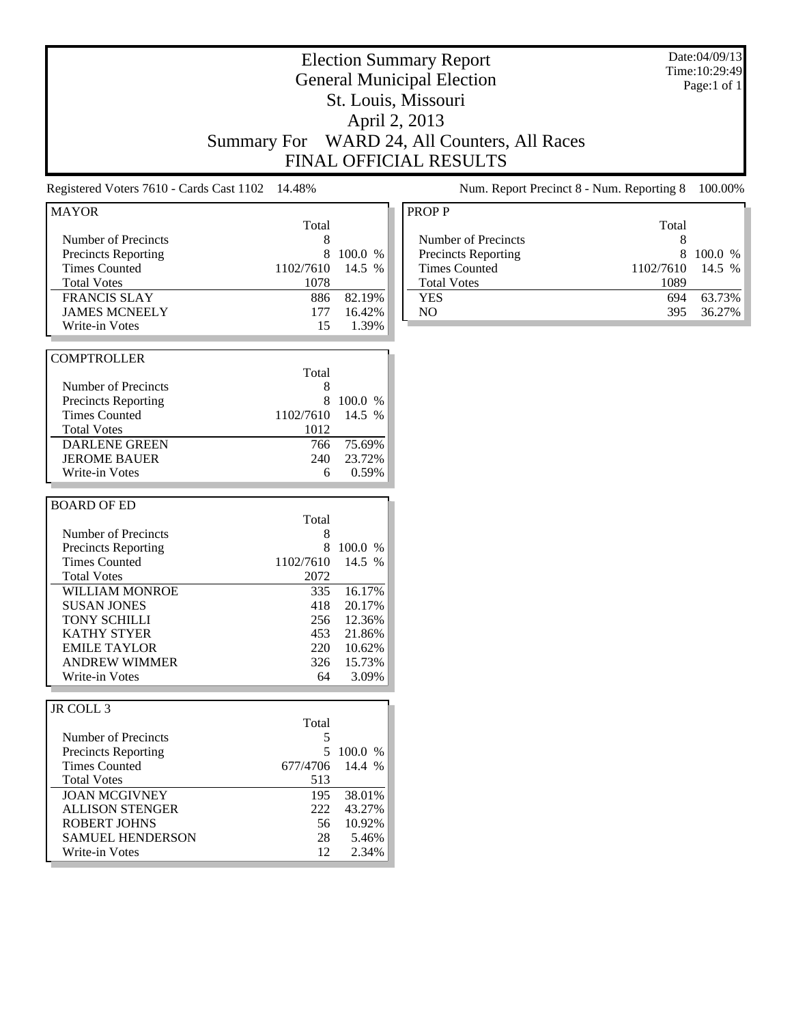| <b>Election Summary Report</b><br><b>General Municipal Election</b><br>St. Louis, Missouri<br>April 2, 2013<br>WARD 24, All Counters, All Races<br><b>Summary For</b><br><b>FINAL OFFICIAL RESULTS</b>                                                                             |                                                                                      |                                                                                        | Date:04/09/13<br>Time: 10:29:49<br>Page:1 of 1                                                                                                                                     |                                       |  |
|------------------------------------------------------------------------------------------------------------------------------------------------------------------------------------------------------------------------------------------------------------------------------------|--------------------------------------------------------------------------------------|----------------------------------------------------------------------------------------|------------------------------------------------------------------------------------------------------------------------------------------------------------------------------------|---------------------------------------|--|
| Registered Voters 7610 - Cards Cast 1102                                                                                                                                                                                                                                           | 14.48%                                                                               |                                                                                        | Num. Report Precinct 8 - Num. Reporting 8                                                                                                                                          | 100.00%                               |  |
| <b>MAYOR</b><br>Number of Precincts<br>Precincts Reporting<br><b>Times Counted</b><br><b>Total Votes</b><br><b>FRANCIS SLAY</b><br><b>JAMES MCNEELY</b><br>Write-in Votes                                                                                                          | Total<br>8<br>8<br>1102/7610<br>1078<br>886<br>177<br>15                             | 100.0 %<br>14.5 %<br>82.19%<br>16.42%<br>1.39%                                         | <b>PROPP</b><br>Total<br>Number of Precincts<br>8<br>8<br>Precincts Reporting<br><b>Times Counted</b><br>1102/7610<br><b>Total Votes</b><br>1089<br><b>YES</b><br>694<br>NO<br>395 | 100.0 %<br>14.5 %<br>63.73%<br>36.27% |  |
| <b>COMPTROLLER</b><br>Number of Precincts<br><b>Precincts Reporting</b><br><b>Times Counted</b><br><b>Total Votes</b><br><b>DARLENE GREEN</b><br><b>JEROME BAUER</b><br>Write-in Votes                                                                                             | Total<br>8<br>8<br>1102/7610<br>1012<br>766<br>240<br>6                              | 100.0 %<br>14.5 %<br>75.69%<br>23.72%<br>0.59%                                         |                                                                                                                                                                                    |                                       |  |
| <b>BOARD OF ED</b><br>Number of Precincts<br><b>Precincts Reporting</b><br><b>Times Counted</b><br><b>Total Votes</b><br><b>WILLIAM MONROE</b><br><b>SUSAN JONES</b><br><b>TONY SCHILLI</b><br><b>KATHY STYER</b><br><b>EMILE TAYLOR</b><br><b>ANDREW WIMMER</b><br>Write-in Votes | Total<br>8<br>8<br>1102/7610<br>2072<br>335<br>418<br>256<br>453<br>220<br>326<br>64 | 100.0 %<br>14.5 %<br>16.17%<br>20.17%<br>12.36%<br>21.86%<br>10.62%<br>15.73%<br>3.09% |                                                                                                                                                                                    |                                       |  |
| JR COLL 3<br>Number of Precincts<br><b>Precincts Reporting</b><br><b>Times Counted</b><br><b>Total Votes</b><br><b>JOAN MCGIVNEY</b><br><b>ALLISON STENGER</b><br><b>ROBERT JOHNS</b><br><b>SAMUEL HENDERSON</b><br>Write-in Votes                                                 | Total<br>5<br>5<br>677/4706<br>513<br>195<br>222<br>56<br>28<br>12                   | 100.0 %<br>14.4 %<br>38.01%<br>43.27%<br>10.92%<br>5.46%<br>2.34%                      |                                                                                                                                                                                    |                                       |  |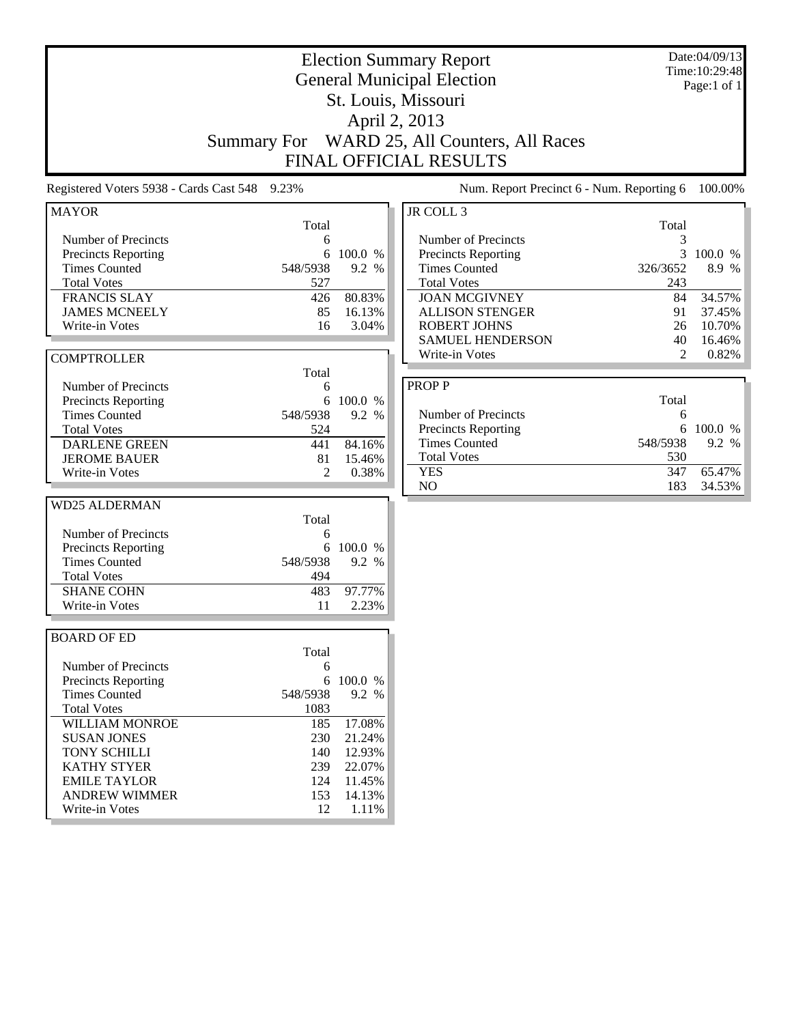| St. Louis, Missouri<br>April 2, 2013<br>WARD 25, All Counters, All Races<br><b>Summary For</b><br><b>FINAL OFFICIAL RESULTS</b><br>Num. Report Precinct 6 - Num. Reporting 6<br>Registered Voters 5938 - Cards Cast 548 9.23%<br>JR COLL 3<br><b>MAYOR</b><br>Total<br>Total<br>Number of Precincts<br>Number of Precincts<br>3<br>6<br>3<br>Precincts Reporting<br>6<br>100.0 %<br>Precincts Reporting<br>100.0 %<br><b>Times Counted</b><br>548/5938<br>9.2 %<br><b>Times Counted</b><br>8.9 %<br>326/3652<br><b>Total Votes</b><br><b>Total Votes</b><br>527<br>243<br><b>FRANCIS SLAY</b><br>80.83%<br><b>JOAN MCGIVNEY</b><br>84<br>34.57%<br>426<br><b>JAMES MCNEELY</b><br>16.13%<br><b>ALLISON STENGER</b><br>91<br>37.45%<br>85<br>10.70%<br>3.04%<br><b>ROBERT JOHNS</b><br>Write-in Votes<br>16<br>26<br><b>SAMUEL HENDERSON</b><br>40<br>16.46%<br>Write-in Votes<br>2<br>0.82%<br><b>COMPTROLLER</b><br>Total<br><b>PROPP</b><br>Number of Precincts<br>6<br>Total<br>100.0 %<br>Precincts Reporting<br>6<br>Number of Precincts<br><b>Times Counted</b><br>548/5938<br>9.2 %<br>6<br>100.0 %<br>Precincts Reporting<br>6<br><b>Total Votes</b><br>524<br><b>Times Counted</b><br>548/5938<br>9.2 %<br><b>DARLENE GREEN</b><br>441<br>84.16%<br><b>Total Votes</b><br>530<br><b>JEROME BAUER</b><br>81<br>15.46%<br>347<br>65.47%<br><b>YES</b><br>$\overline{2}$<br>Write-in Votes<br>0.38%<br>N <sub>O</sub><br>183<br>34.53%<br><b>WD25 ALDERMAN</b><br>Total<br>Number of Precincts<br>6<br>6<br>100.0 %<br>Precincts Reporting<br><b>Times Counted</b><br>548/5938<br>9.2 %<br><b>Total Votes</b><br>494<br><b>SHANE COHN</b><br>97.77%<br>483 |
|------------------------------------------------------------------------------------------------------------------------------------------------------------------------------------------------------------------------------------------------------------------------------------------------------------------------------------------------------------------------------------------------------------------------------------------------------------------------------------------------------------------------------------------------------------------------------------------------------------------------------------------------------------------------------------------------------------------------------------------------------------------------------------------------------------------------------------------------------------------------------------------------------------------------------------------------------------------------------------------------------------------------------------------------------------------------------------------------------------------------------------------------------------------------------------------------------------------------------------------------------------------------------------------------------------------------------------------------------------------------------------------------------------------------------------------------------------------------------------------------------------------------------------------------------------------------------------------------------------------------------------------------------------------|
| 100.00%                                                                                                                                                                                                                                                                                                                                                                                                                                                                                                                                                                                                                                                                                                                                                                                                                                                                                                                                                                                                                                                                                                                                                                                                                                                                                                                                                                                                                                                                                                                                                                                                                                                          |
|                                                                                                                                                                                                                                                                                                                                                                                                                                                                                                                                                                                                                                                                                                                                                                                                                                                                                                                                                                                                                                                                                                                                                                                                                                                                                                                                                                                                                                                                                                                                                                                                                                                                  |
|                                                                                                                                                                                                                                                                                                                                                                                                                                                                                                                                                                                                                                                                                                                                                                                                                                                                                                                                                                                                                                                                                                                                                                                                                                                                                                                                                                                                                                                                                                                                                                                                                                                                  |
|                                                                                                                                                                                                                                                                                                                                                                                                                                                                                                                                                                                                                                                                                                                                                                                                                                                                                                                                                                                                                                                                                                                                                                                                                                                                                                                                                                                                                                                                                                                                                                                                                                                                  |
|                                                                                                                                                                                                                                                                                                                                                                                                                                                                                                                                                                                                                                                                                                                                                                                                                                                                                                                                                                                                                                                                                                                                                                                                                                                                                                                                                                                                                                                                                                                                                                                                                                                                  |
|                                                                                                                                                                                                                                                                                                                                                                                                                                                                                                                                                                                                                                                                                                                                                                                                                                                                                                                                                                                                                                                                                                                                                                                                                                                                                                                                                                                                                                                                                                                                                                                                                                                                  |
|                                                                                                                                                                                                                                                                                                                                                                                                                                                                                                                                                                                                                                                                                                                                                                                                                                                                                                                                                                                                                                                                                                                                                                                                                                                                                                                                                                                                                                                                                                                                                                                                                                                                  |
|                                                                                                                                                                                                                                                                                                                                                                                                                                                                                                                                                                                                                                                                                                                                                                                                                                                                                                                                                                                                                                                                                                                                                                                                                                                                                                                                                                                                                                                                                                                                                                                                                                                                  |
|                                                                                                                                                                                                                                                                                                                                                                                                                                                                                                                                                                                                                                                                                                                                                                                                                                                                                                                                                                                                                                                                                                                                                                                                                                                                                                                                                                                                                                                                                                                                                                                                                                                                  |
|                                                                                                                                                                                                                                                                                                                                                                                                                                                                                                                                                                                                                                                                                                                                                                                                                                                                                                                                                                                                                                                                                                                                                                                                                                                                                                                                                                                                                                                                                                                                                                                                                                                                  |
|                                                                                                                                                                                                                                                                                                                                                                                                                                                                                                                                                                                                                                                                                                                                                                                                                                                                                                                                                                                                                                                                                                                                                                                                                                                                                                                                                                                                                                                                                                                                                                                                                                                                  |
|                                                                                                                                                                                                                                                                                                                                                                                                                                                                                                                                                                                                                                                                                                                                                                                                                                                                                                                                                                                                                                                                                                                                                                                                                                                                                                                                                                                                                                                                                                                                                                                                                                                                  |
|                                                                                                                                                                                                                                                                                                                                                                                                                                                                                                                                                                                                                                                                                                                                                                                                                                                                                                                                                                                                                                                                                                                                                                                                                                                                                                                                                                                                                                                                                                                                                                                                                                                                  |
|                                                                                                                                                                                                                                                                                                                                                                                                                                                                                                                                                                                                                                                                                                                                                                                                                                                                                                                                                                                                                                                                                                                                                                                                                                                                                                                                                                                                                                                                                                                                                                                                                                                                  |
|                                                                                                                                                                                                                                                                                                                                                                                                                                                                                                                                                                                                                                                                                                                                                                                                                                                                                                                                                                                                                                                                                                                                                                                                                                                                                                                                                                                                                                                                                                                                                                                                                                                                  |
|                                                                                                                                                                                                                                                                                                                                                                                                                                                                                                                                                                                                                                                                                                                                                                                                                                                                                                                                                                                                                                                                                                                                                                                                                                                                                                                                                                                                                                                                                                                                                                                                                                                                  |
|                                                                                                                                                                                                                                                                                                                                                                                                                                                                                                                                                                                                                                                                                                                                                                                                                                                                                                                                                                                                                                                                                                                                                                                                                                                                                                                                                                                                                                                                                                                                                                                                                                                                  |
|                                                                                                                                                                                                                                                                                                                                                                                                                                                                                                                                                                                                                                                                                                                                                                                                                                                                                                                                                                                                                                                                                                                                                                                                                                                                                                                                                                                                                                                                                                                                                                                                                                                                  |
|                                                                                                                                                                                                                                                                                                                                                                                                                                                                                                                                                                                                                                                                                                                                                                                                                                                                                                                                                                                                                                                                                                                                                                                                                                                                                                                                                                                                                                                                                                                                                                                                                                                                  |
|                                                                                                                                                                                                                                                                                                                                                                                                                                                                                                                                                                                                                                                                                                                                                                                                                                                                                                                                                                                                                                                                                                                                                                                                                                                                                                                                                                                                                                                                                                                                                                                                                                                                  |
|                                                                                                                                                                                                                                                                                                                                                                                                                                                                                                                                                                                                                                                                                                                                                                                                                                                                                                                                                                                                                                                                                                                                                                                                                                                                                                                                                                                                                                                                                                                                                                                                                                                                  |
|                                                                                                                                                                                                                                                                                                                                                                                                                                                                                                                                                                                                                                                                                                                                                                                                                                                                                                                                                                                                                                                                                                                                                                                                                                                                                                                                                                                                                                                                                                                                                                                                                                                                  |
|                                                                                                                                                                                                                                                                                                                                                                                                                                                                                                                                                                                                                                                                                                                                                                                                                                                                                                                                                                                                                                                                                                                                                                                                                                                                                                                                                                                                                                                                                                                                                                                                                                                                  |
|                                                                                                                                                                                                                                                                                                                                                                                                                                                                                                                                                                                                                                                                                                                                                                                                                                                                                                                                                                                                                                                                                                                                                                                                                                                                                                                                                                                                                                                                                                                                                                                                                                                                  |
|                                                                                                                                                                                                                                                                                                                                                                                                                                                                                                                                                                                                                                                                                                                                                                                                                                                                                                                                                                                                                                                                                                                                                                                                                                                                                                                                                                                                                                                                                                                                                                                                                                                                  |
|                                                                                                                                                                                                                                                                                                                                                                                                                                                                                                                                                                                                                                                                                                                                                                                                                                                                                                                                                                                                                                                                                                                                                                                                                                                                                                                                                                                                                                                                                                                                                                                                                                                                  |
|                                                                                                                                                                                                                                                                                                                                                                                                                                                                                                                                                                                                                                                                                                                                                                                                                                                                                                                                                                                                                                                                                                                                                                                                                                                                                                                                                                                                                                                                                                                                                                                                                                                                  |
|                                                                                                                                                                                                                                                                                                                                                                                                                                                                                                                                                                                                                                                                                                                                                                                                                                                                                                                                                                                                                                                                                                                                                                                                                                                                                                                                                                                                                                                                                                                                                                                                                                                                  |
|                                                                                                                                                                                                                                                                                                                                                                                                                                                                                                                                                                                                                                                                                                                                                                                                                                                                                                                                                                                                                                                                                                                                                                                                                                                                                                                                                                                                                                                                                                                                                                                                                                                                  |
|                                                                                                                                                                                                                                                                                                                                                                                                                                                                                                                                                                                                                                                                                                                                                                                                                                                                                                                                                                                                                                                                                                                                                                                                                                                                                                                                                                                                                                                                                                                                                                                                                                                                  |
|                                                                                                                                                                                                                                                                                                                                                                                                                                                                                                                                                                                                                                                                                                                                                                                                                                                                                                                                                                                                                                                                                                                                                                                                                                                                                                                                                                                                                                                                                                                                                                                                                                                                  |
| 2.23%<br>Write-in Votes<br>11                                                                                                                                                                                                                                                                                                                                                                                                                                                                                                                                                                                                                                                                                                                                                                                                                                                                                                                                                                                                                                                                                                                                                                                                                                                                                                                                                                                                                                                                                                                                                                                                                                    |
|                                                                                                                                                                                                                                                                                                                                                                                                                                                                                                                                                                                                                                                                                                                                                                                                                                                                                                                                                                                                                                                                                                                                                                                                                                                                                                                                                                                                                                                                                                                                                                                                                                                                  |
| <b>BOARD OF ED</b>                                                                                                                                                                                                                                                                                                                                                                                                                                                                                                                                                                                                                                                                                                                                                                                                                                                                                                                                                                                                                                                                                                                                                                                                                                                                                                                                                                                                                                                                                                                                                                                                                                               |
| Total                                                                                                                                                                                                                                                                                                                                                                                                                                                                                                                                                                                                                                                                                                                                                                                                                                                                                                                                                                                                                                                                                                                                                                                                                                                                                                                                                                                                                                                                                                                                                                                                                                                            |
| Number of Precincts<br>6                                                                                                                                                                                                                                                                                                                                                                                                                                                                                                                                                                                                                                                                                                                                                                                                                                                                                                                                                                                                                                                                                                                                                                                                                                                                                                                                                                                                                                                                                                                                                                                                                                         |
| 6<br>100.0 %<br><b>Precincts Reporting</b>                                                                                                                                                                                                                                                                                                                                                                                                                                                                                                                                                                                                                                                                                                                                                                                                                                                                                                                                                                                                                                                                                                                                                                                                                                                                                                                                                                                                                                                                                                                                                                                                                       |
| <b>Times Counted</b><br>548/5938<br>9.2 %                                                                                                                                                                                                                                                                                                                                                                                                                                                                                                                                                                                                                                                                                                                                                                                                                                                                                                                                                                                                                                                                                                                                                                                                                                                                                                                                                                                                                                                                                                                                                                                                                        |
| <b>Total Votes</b><br>1083                                                                                                                                                                                                                                                                                                                                                                                                                                                                                                                                                                                                                                                                                                                                                                                                                                                                                                                                                                                                                                                                                                                                                                                                                                                                                                                                                                                                                                                                                                                                                                                                                                       |
| WILLIAM MONROE<br>185<br>17.08%                                                                                                                                                                                                                                                                                                                                                                                                                                                                                                                                                                                                                                                                                                                                                                                                                                                                                                                                                                                                                                                                                                                                                                                                                                                                                                                                                                                                                                                                                                                                                                                                                                  |
| 230<br>21.24%<br><b>SUSAN JONES</b>                                                                                                                                                                                                                                                                                                                                                                                                                                                                                                                                                                                                                                                                                                                                                                                                                                                                                                                                                                                                                                                                                                                                                                                                                                                                                                                                                                                                                                                                                                                                                                                                                              |
| TONY SCHILLI<br>140<br>12.93%                                                                                                                                                                                                                                                                                                                                                                                                                                                                                                                                                                                                                                                                                                                                                                                                                                                                                                                                                                                                                                                                                                                                                                                                                                                                                                                                                                                                                                                                                                                                                                                                                                    |
| <b>KATHY STYER</b><br>22.07%<br>239                                                                                                                                                                                                                                                                                                                                                                                                                                                                                                                                                                                                                                                                                                                                                                                                                                                                                                                                                                                                                                                                                                                                                                                                                                                                                                                                                                                                                                                                                                                                                                                                                              |
| <b>EMILE TAYLOR</b><br>124<br>11.45%                                                                                                                                                                                                                                                                                                                                                                                                                                                                                                                                                                                                                                                                                                                                                                                                                                                                                                                                                                                                                                                                                                                                                                                                                                                                                                                                                                                                                                                                                                                                                                                                                             |
| <b>ANDREW WIMMER</b><br>153<br>14.13%                                                                                                                                                                                                                                                                                                                                                                                                                                                                                                                                                                                                                                                                                                                                                                                                                                                                                                                                                                                                                                                                                                                                                                                                                                                                                                                                                                                                                                                                                                                                                                                                                            |
| 12<br>Write-in Votes<br>1.11%                                                                                                                                                                                                                                                                                                                                                                                                                                                                                                                                                                                                                                                                                                                                                                                                                                                                                                                                                                                                                                                                                                                                                                                                                                                                                                                                                                                                                                                                                                                                                                                                                                    |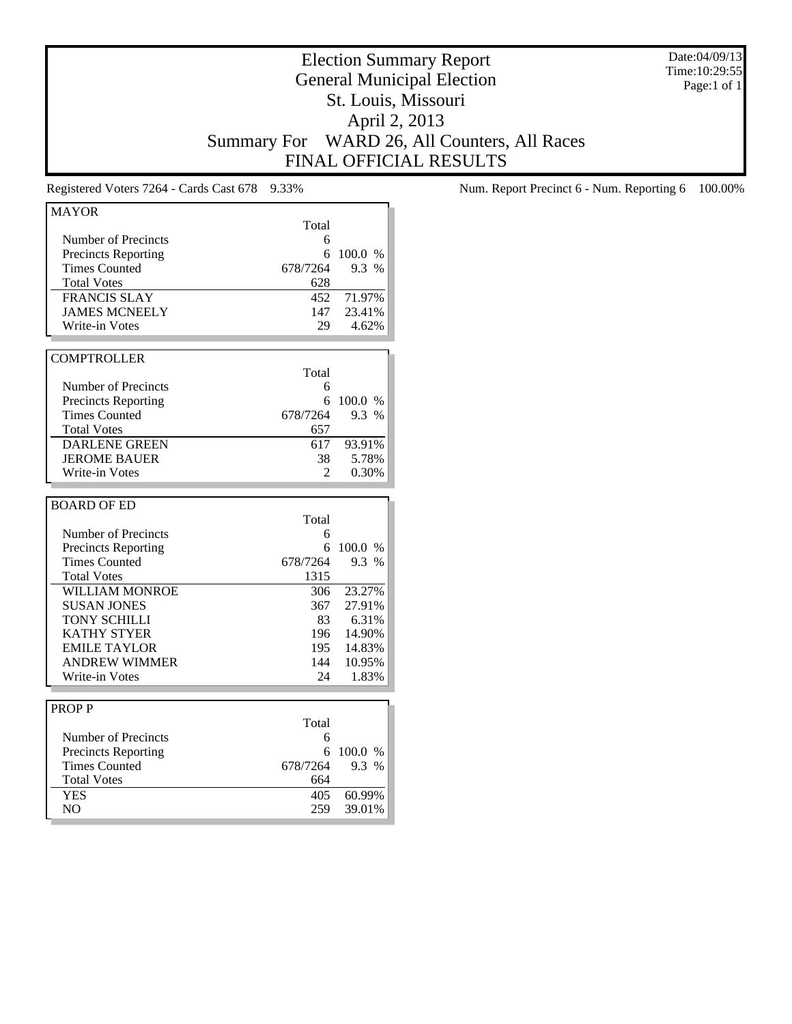Date:04/09/13 Time:10:29:55 Page:1 of 1

# Election Summary Report General Municipal Election St. Louis, Missouri April 2, 2013 Summary For WARD 26, All Counters, All Races FINAL OFFICIAL RESULTS

| <b>MAYOR</b>                 |                |                  |
|------------------------------|----------------|------------------|
|                              | Total          |                  |
| Number of Precincts          | 6              |                  |
| <b>Precincts Reporting</b>   | 6              | 100.0 %          |
| <b>Times Counted</b>         | 678/7264       | 9.3 %            |
| <b>Total Votes</b>           | 628            |                  |
| <b>FRANCIS SLAY</b>          | 452            | 71.97%           |
| <b>JAMES MCNEELY</b>         | 147            | 23.41%           |
| <b>Write-in Votes</b>        | 29             | 4.62%            |
|                              |                |                  |
| <b>COMPTROLLER</b>           |                |                  |
|                              | Total          |                  |
| Number of Precincts          | 6              |                  |
| <b>Precincts Reporting</b>   | 6              | 100.0 %          |
| <b>Times Counted</b>         | 678/7264       | 9.3 %            |
| <b>Total Votes</b>           | 657            |                  |
| <b>DARLENE GREEN</b>         | 617            | 93.91%           |
| <b>JEROME BAUER</b>          | 38             | 5.78%            |
| Write-in Votes               | $\mathfrak{D}$ | 0.30%            |
|                              |                |                  |
| <b>BOARD OF ED</b>           |                |                  |
|                              |                |                  |
|                              |                |                  |
|                              | Total          |                  |
| Number of Precincts          | 6              |                  |
| <b>Precincts Reporting</b>   | 6              | 100.0 %          |
| <b>Times Counted</b>         | 678/7264       | 9.3 %            |
| <b>Total Votes</b>           | 1315           |                  |
| <b>WILLIAM MONROE</b>        | 306            | 23.27%           |
| <b>SUSAN JONES</b>           | 367            | 27.91%           |
| <b>TONY SCHILLI</b>          | 83             | 6.31%            |
| <b>KATHY STYER</b>           | 196            | 14.90%           |
| <b>EMILE TAYLOR</b>          | 195            | 14.83%           |
| <b>ANDREW WIMMER</b>         | 144            | 10.95%           |
| Write-in Votes               | 24             | 1.83%            |
|                              |                |                  |
| <b>PROPP</b>                 |                |                  |
|                              | Total          |                  |
| Number of Precincts          | 6              |                  |
| <b>Precincts Reporting</b>   | 6              | 100.0 %          |
| <b>Times Counted</b>         | 678/7264       | 9.3 %            |
| <b>Total Votes</b>           | 664            |                  |
| <b>YES</b><br>N <sub>O</sub> | 405<br>259     | 60.99%<br>39.01% |

Registered Voters 7264 - Cards Cast 678 9.33% Num. Report Precinct 6 - Num. Reporting 6 100.00%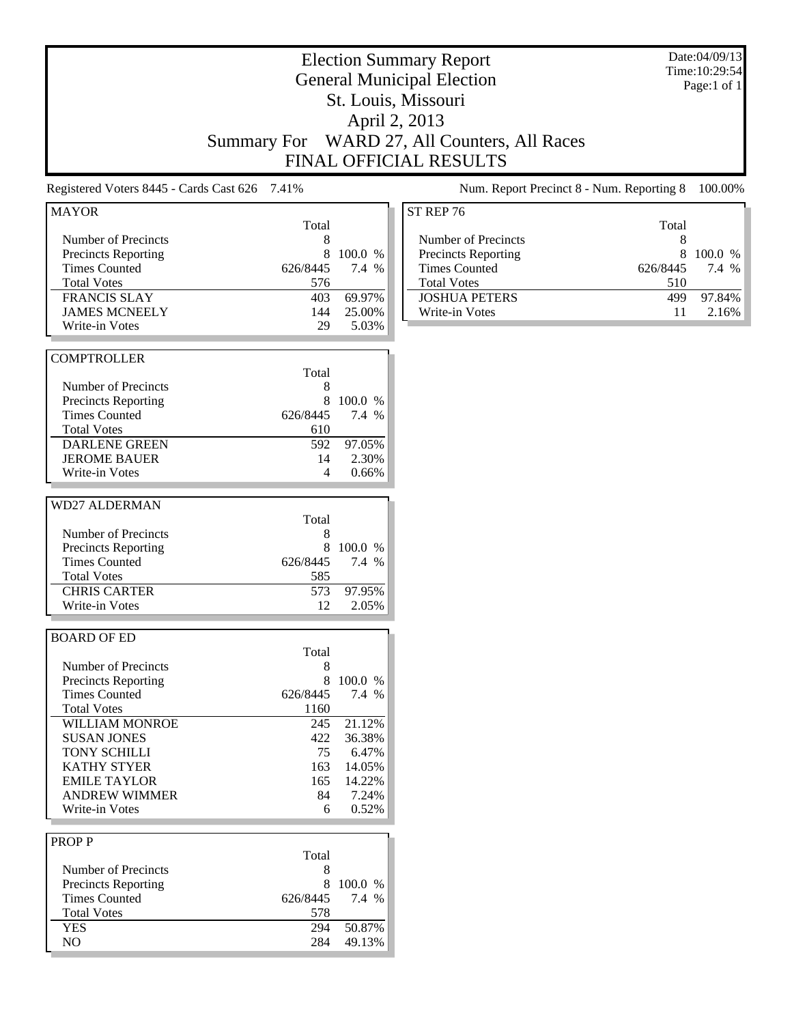#### Election Summary Report General Municipal Election St. Louis, Missouri April 2, 2013 Summary For WARD 27, All Counters, All Races FINAL OFFICIAL RESULTS Date:04/09/13 Time:10:29:54 Registered Voters 8445 - Cards Cast 626 7.41% Num. Report Precinct 8 - Num. Reporting 8 100.00% Total Number of Precincts<br>
Precincts Reporting<br>
8 100.0 % Precincts Reporting 8 100.0 %<br>Times Counted 626/8445 7.4 % Times Counted Total Votes 576 FRANCIS SLAY 403 69.97% JAMES MCNEELY 144 25.00% Write-in Votes 29 5.03% **COMPTROLLER** Total Number of Precincts 8 Precincts Reporting 8 100.0 % Times Counted 626/8445 7.4 % Total Votes 610 DARLENE GREEN 592 97.05% JEROME BAUER 14 2.30%<br>Write-in Votes 4 0.66% Write-in Votes ST REP 76 Total Number of Precincts<br>
Precincts Reporting<br>
8 100.0 % Precincts Reporting 8 100.0 %<br>Times Counted 626/8445 7.4 % Times Counted Total Votes 510 JOSHUA PETERS 499 97.84% Write-in Votes 11 2.16%

Page:1 of 1

| <b>BOARD OF ED</b>         |          |        |
|----------------------------|----------|--------|
|                            | Total    |        |
| Number of Precincts        | 8        |        |
| <b>Precincts Reporting</b> | 8        | 100.0  |
| <b>Times Counted</b>       | 626/8445 | 7.4 %  |
| <b>Total Votes</b>         | 1160     |        |
| <b>WILLIAM MONROE</b>      | 245      | 21.12% |
| <b>SUSAN JONES</b>         | 422      | 36.38% |
| <b>TONY SCHILLI</b>        | 75       | 6.47%  |
| <b>KATHY STYER</b>         | 163      | 14.05% |
| <b>EMILE TAYLOR</b>        | 165      | 14.22% |
| <b>ANDREW WIMMER</b>       | 84       | 7.24%  |
| Write-in Votes             |          | 0.52%  |

Number of Precincts<br>
Precincts Reporting<br>
8 100.0 % Precincts Reporting 8 100.0 %<br>Times Counted 626/8445 7.4 %

CHRIS CARTER 573 97.95% Write-in Votes 12 2.05%

Total Votes 585

Total

MAYOR

WD27 ALDERMAN

Times Counted

| <b>PROPP</b>               |          |           |
|----------------------------|----------|-----------|
|                            | Total    |           |
| Number of Precincts        |          |           |
| <b>Precincts Reporting</b> | x        | $100.0\%$ |
| <b>Times Counted</b>       | 626/8445 | 7.4 %     |
| <b>Total Votes</b>         | 578      |           |
| YES                        | 294      | 50.87%    |
| NΩ                         | 284      | 49.13%    |